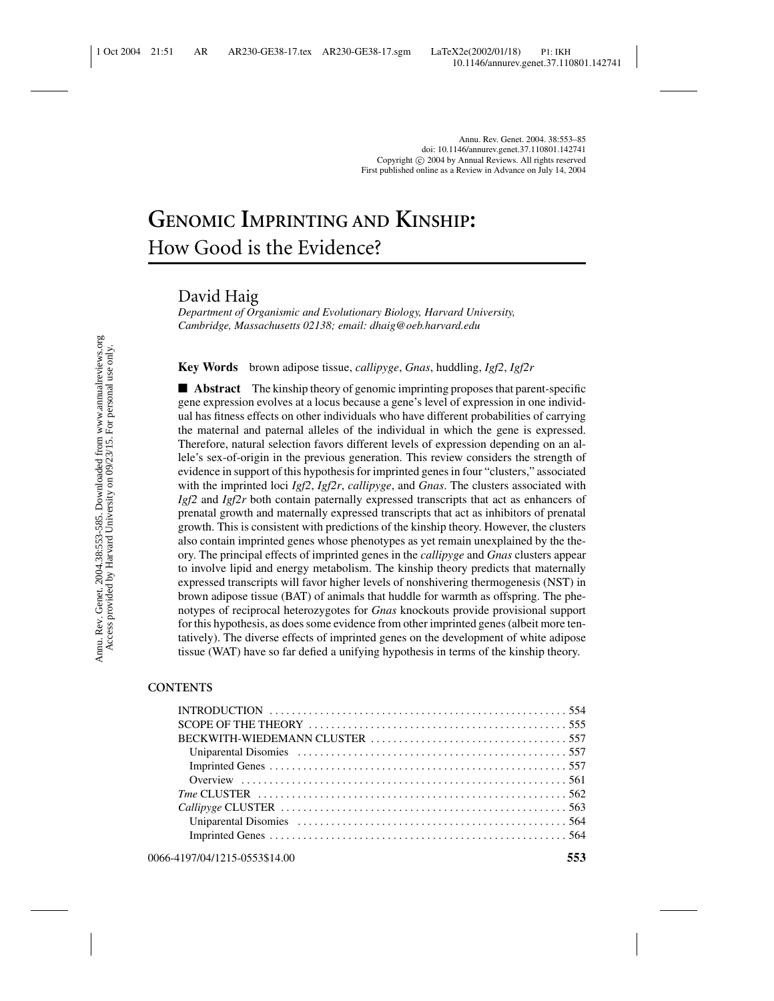# **GENOMIC IMPRINTING AND KINSHIP:** How Good is the Evidence?

David Haig

*Department of Organismic and Evolutionary Biology, Harvard University, Cambridge, Massachusetts 02138; email: dhaig@oeb.harvard.edu*

**Key Words** brown adipose tissue, *callipyge*, *Gnas*, huddling, *Igf2*, *Igf2r*

■ **Abstract** The kinship theory of genomic imprinting proposes that parent-specific gene expression evolves at a locus because a gene's level of expression in one individual has fitness effects on other individuals who have different probabilities of carrying the maternal and paternal alleles of the individual in which the gene is expressed. Therefore, natural selection favors different levels of expression depending on an allele's sex-of-origin in the previous generation. This review considers the strength of evidence in support of this hypothesis for imprinted genes in four "clusters," associated with the imprinted loci *Igf2*, *Igf2r*, *callipyge*, and *Gnas*. The clusters associated with *Igf2* and *Igf2r* both contain paternally expressed transcripts that act as enhancers of prenatal growth and maternally expressed transcripts that act as inhibitors of prenatal growth. This is consistent with predictions of the kinship theory. However, the clusters also contain imprinted genes whose phenotypes as yet remain unexplained by the theory. The principal effects of imprinted genes in the *callipyge* and *Gnas* clusters appear to involve lipid and energy metabolism. The kinship theory predicts that maternally expressed transcripts will favor higher levels of nonshivering thermogenesis (NST) in brown adipose tissue (BAT) of animals that huddle for warmth as offspring. The phenotypes of reciprocal heterozygotes for *Gnas* knockouts provide provisional support for this hypothesis, as does some evidence from other imprinted genes (albeit more tentatively). The diverse effects of imprinted genes on the development of white adipose tissue (WAT) have so far defied a unifying hypothesis in terms of the kinship theory.

### **CONTENTS**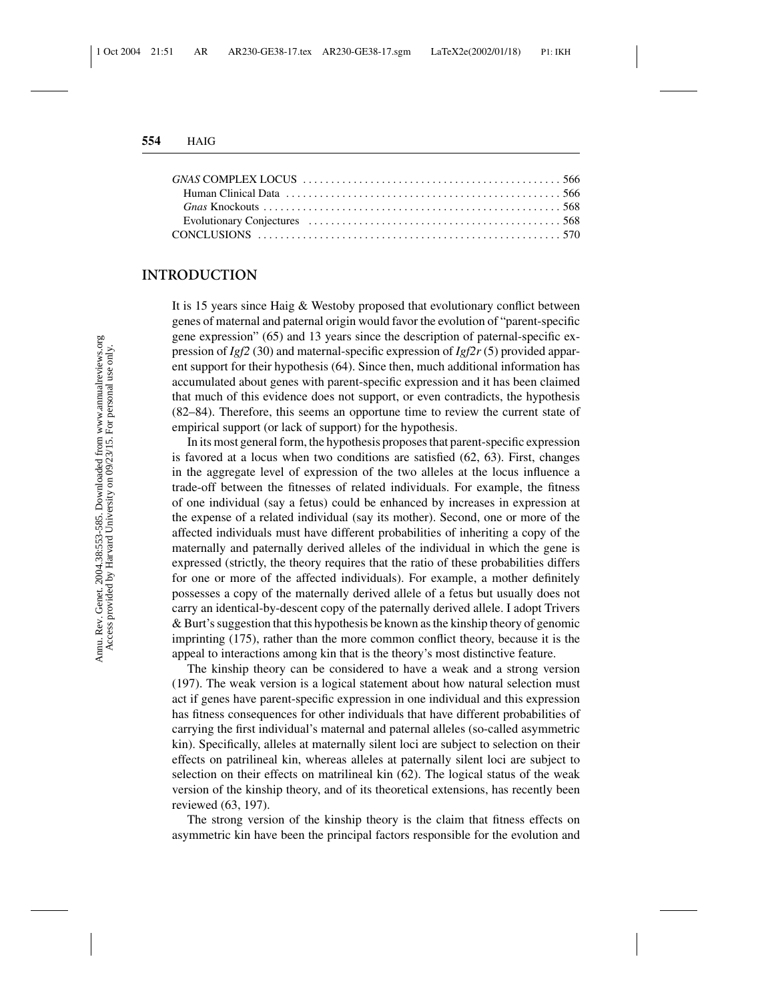| $GNAS$ COMPLEX LOCUS $\ldots$ $\ldots$ $\ldots$ $\ldots$ $\ldots$ $\ldots$ $\ldots$ $\ldots$ $\ldots$ $\ldots$ $\ldots$ $\ldots$ 566 |  |
|--------------------------------------------------------------------------------------------------------------------------------------|--|
|                                                                                                                                      |  |
|                                                                                                                                      |  |
|                                                                                                                                      |  |
|                                                                                                                                      |  |

## **INTRODUCTION**

It is 15 years since Haig & Westoby proposed that evolutionary conflict between genes of maternal and paternal origin would favor the evolution of "parent-specific gene expression" (65) and 13 years since the description of paternal-specific expression of *Igf2* (30) and maternal-specific expression of *Igf2r* (5) provided apparent support for their hypothesis (64). Since then, much additional information has accumulated about genes with parent-specific expression and it has been claimed that much of this evidence does not support, or even contradicts, the hypothesis (82–84). Therefore, this seems an opportune time to review the current state of empirical support (or lack of support) for the hypothesis.

In its most general form, the hypothesis proposes that parent-specific expression is favored at a locus when two conditions are satisfied (62, 63). First, changes in the aggregate level of expression of the two alleles at the locus influence a trade-off between the fitnesses of related individuals. For example, the fitness of one individual (say a fetus) could be enhanced by increases in expression at the expense of a related individual (say its mother). Second, one or more of the affected individuals must have different probabilities of inheriting a copy of the maternally and paternally derived alleles of the individual in which the gene is expressed (strictly, the theory requires that the ratio of these probabilities differs for one or more of the affected individuals). For example, a mother definitely possesses a copy of the maternally derived allele of a fetus but usually does not carry an identical-by-descent copy of the paternally derived allele. I adopt Trivers & Burt's suggestion that this hypothesis be known as the kinship theory of genomic imprinting (175), rather than the more common conflict theory, because it is the appeal to interactions among kin that is the theory's most distinctive feature.

The kinship theory can be considered to have a weak and a strong version (197). The weak version is a logical statement about how natural selection must act if genes have parent-specific expression in one individual and this expression has fitness consequences for other individuals that have different probabilities of carrying the first individual's maternal and paternal alleles (so-called asymmetric kin). Specifically, alleles at maternally silent loci are subject to selection on their effects on patrilineal kin, whereas alleles at paternally silent loci are subject to selection on their effects on matrilineal kin (62). The logical status of the weak version of the kinship theory, and of its theoretical extensions, has recently been reviewed (63, 197).

The strong version of the kinship theory is the claim that fitness effects on asymmetric kin have been the principal factors responsible for the evolution and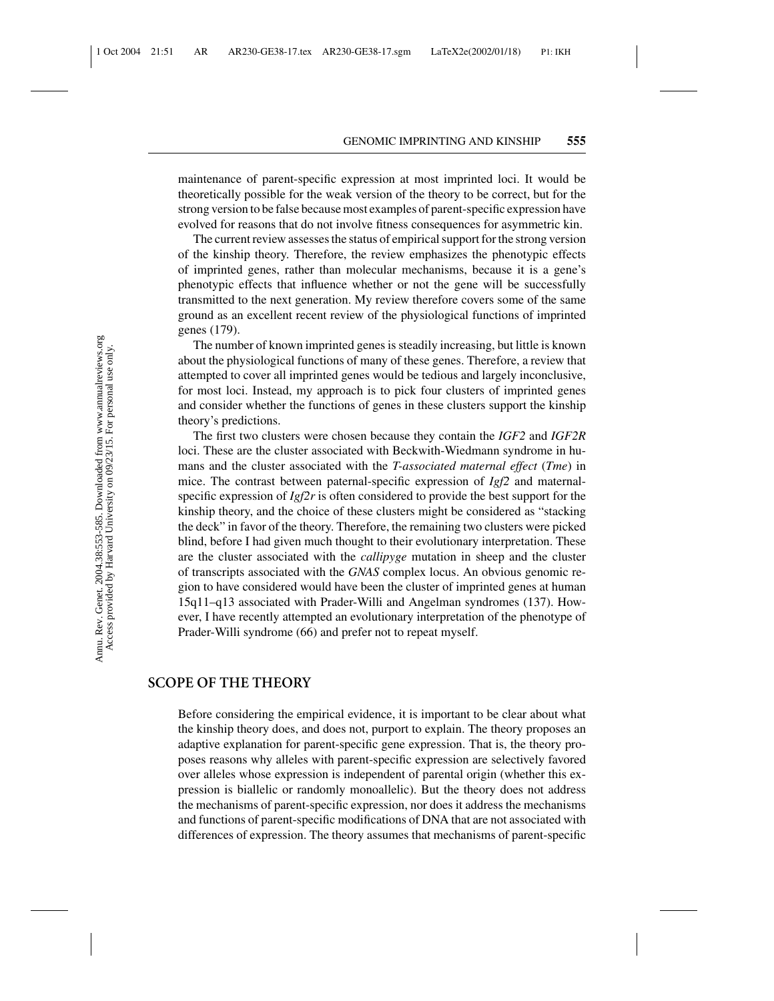maintenance of parent-specific expression at most imprinted loci. It would be theoretically possible for the weak version of the theory to be correct, but for the strong version to be false because most examples of parent-specific expression have evolved for reasons that do not involve fitness consequences for asymmetric kin.

The current review assesses the status of empirical support for the strong version of the kinship theory. Therefore, the review emphasizes the phenotypic effects of imprinted genes, rather than molecular mechanisms, because it is a gene's phenotypic effects that influence whether or not the gene will be successfully transmitted to the next generation. My review therefore covers some of the same ground as an excellent recent review of the physiological functions of imprinted genes (179).

The number of known imprinted genes is steadily increasing, but little is known about the physiological functions of many of these genes. Therefore, a review that attempted to cover all imprinted genes would be tedious and largely inconclusive, for most loci. Instead, my approach is to pick four clusters of imprinted genes and consider whether the functions of genes in these clusters support the kinship theory's predictions.

The first two clusters were chosen because they contain the *IGF2* and *IGF2R* loci. These are the cluster associated with Beckwith-Wiedmann syndrome in humans and the cluster associated with the *T-associated maternal effect* (*Tme*) in mice. The contrast between paternal-specific expression of *Igf2* and maternalspecific expression of *Igf2r* is often considered to provide the best support for the kinship theory, and the choice of these clusters might be considered as "stacking the deck" in favor of the theory. Therefore, the remaining two clusters were picked blind, before I had given much thought to their evolutionary interpretation. These are the cluster associated with the *callipyge* mutation in sheep and the cluster of transcripts associated with the *GNAS* complex locus. An obvious genomic region to have considered would have been the cluster of imprinted genes at human 15q11–q13 associated with Prader-Willi and Angelman syndromes (137). However, I have recently attempted an evolutionary interpretation of the phenotype of Prader-Willi syndrome (66) and prefer not to repeat myself.

### **SCOPE OF THE THEORY**

Before considering the empirical evidence, it is important to be clear about what the kinship theory does, and does not, purport to explain. The theory proposes an adaptive explanation for parent-specific gene expression. That is, the theory proposes reasons why alleles with parent-specific expression are selectively favored over alleles whose expression is independent of parental origin (whether this expression is biallelic or randomly monoallelic). But the theory does not address the mechanisms of parent-specific expression, nor does it address the mechanisms and functions of parent-specific modifications of DNA that are not associated with differences of expression. The theory assumes that mechanisms of parent-specific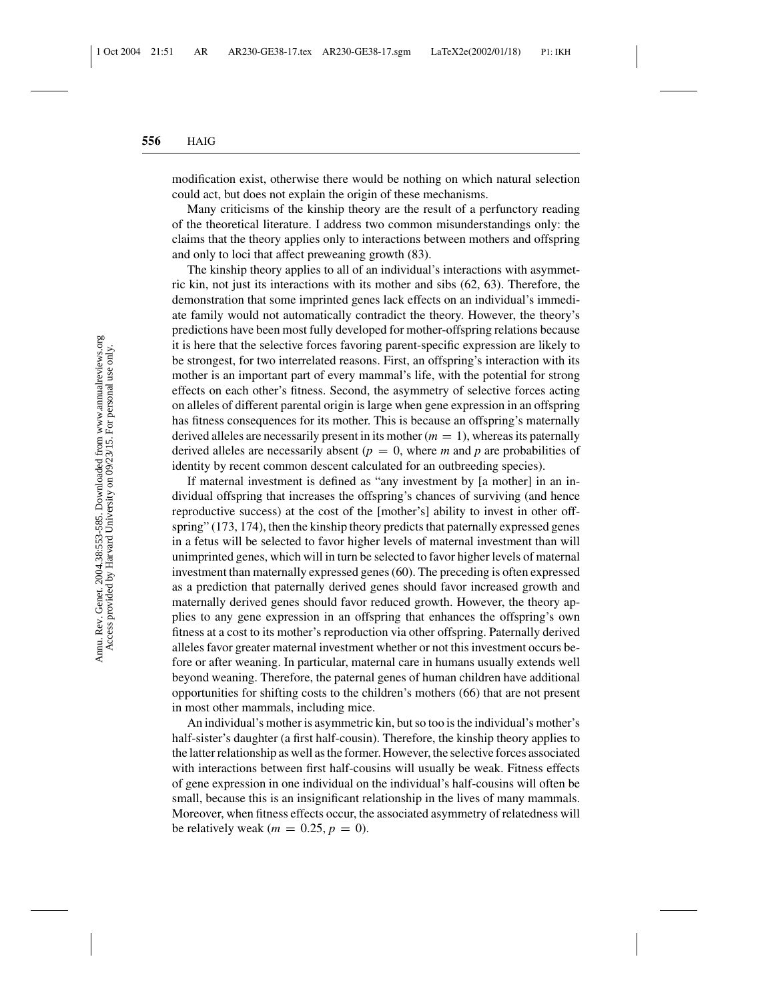modification exist, otherwise there would be nothing on which natural selection could act, but does not explain the origin of these mechanisms.

Many criticisms of the kinship theory are the result of a perfunctory reading of the theoretical literature. I address two common misunderstandings only: the claims that the theory applies only to interactions between mothers and offspring and only to loci that affect preweaning growth (83).

The kinship theory applies to all of an individual's interactions with asymmetric kin, not just its interactions with its mother and sibs (62, 63). Therefore, the demonstration that some imprinted genes lack effects on an individual's immediate family would not automatically contradict the theory. However, the theory's predictions have been most fully developed for mother-offspring relations because it is here that the selective forces favoring parent-specific expression are likely to be strongest, for two interrelated reasons. First, an offspring's interaction with its mother is an important part of every mammal's life, with the potential for strong effects on each other's fitness. Second, the asymmetry of selective forces acting on alleles of different parental origin is large when gene expression in an offspring has fitness consequences for its mother. This is because an offspring's maternally derived alleles are necessarily present in its mother  $(m = 1)$ , whereas its paternally derived alleles are necessarily absent  $(p = 0)$ , where *m* and *p* are probabilities of identity by recent common descent calculated for an outbreeding species).

If maternal investment is defined as "any investment by [a mother] in an individual offspring that increases the offspring's chances of surviving (and hence reproductive success) at the cost of the [mother's] ability to invest in other offspring" (173, 174), then the kinship theory predicts that paternally expressed genes in a fetus will be selected to favor higher levels of maternal investment than will unimprinted genes, which will in turn be selected to favor higher levels of maternal investment than maternally expressed genes (60). The preceding is often expressed as a prediction that paternally derived genes should favor increased growth and maternally derived genes should favor reduced growth. However, the theory applies to any gene expression in an offspring that enhances the offspring's own fitness at a cost to its mother's reproduction via other offspring. Paternally derived alleles favor greater maternal investment whether or not this investment occurs before or after weaning. In particular, maternal care in humans usually extends well beyond weaning. Therefore, the paternal genes of human children have additional opportunities for shifting costs to the children's mothers (66) that are not present in most other mammals, including mice.

An individual's mother is asymmetric kin, but so too is the individual's mother's half-sister's daughter (a first half-cousin). Therefore, the kinship theory applies to the latter relationship as well as the former. However, the selective forces associated with interactions between first half-cousins will usually be weak. Fitness effects of gene expression in one individual on the individual's half-cousins will often be small, because this is an insignificant relationship in the lives of many mammals. Moreover, when fitness effects occur, the associated asymmetry of relatedness will be relatively weak ( $m = 0.25$ ,  $p = 0$ ).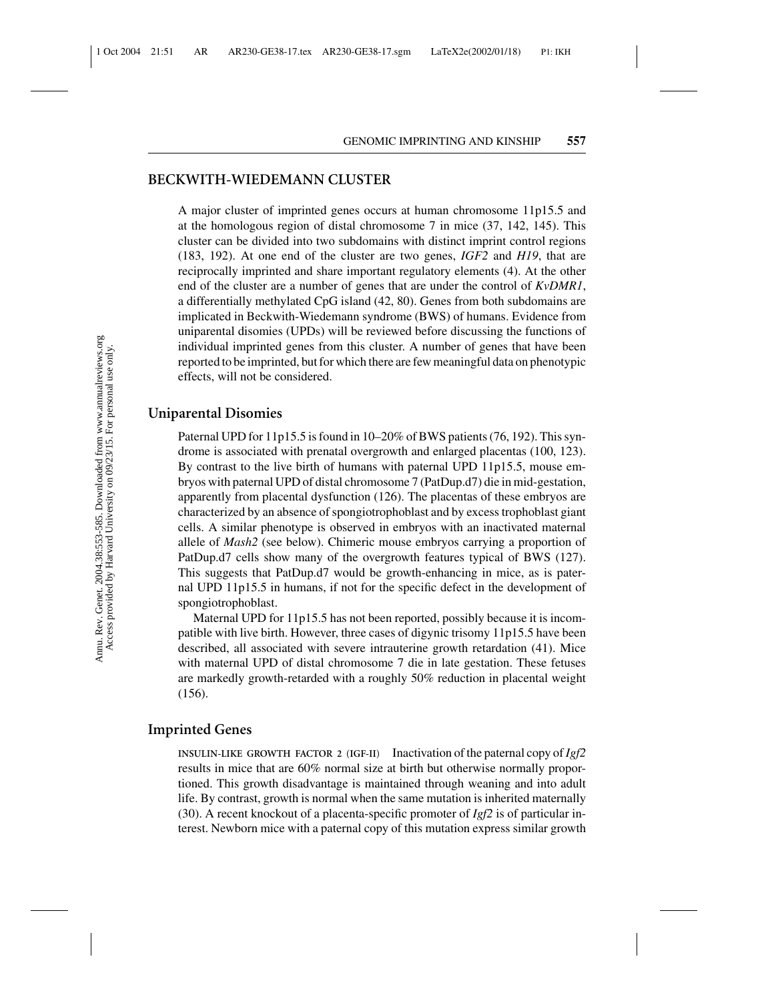# **BECKWITH-WIEDEMANN CLUSTER**

A major cluster of imprinted genes occurs at human chromosome 11p15.5 and at the homologous region of distal chromosome 7 in mice (37, 142, 145). This cluster can be divided into two subdomains with distinct imprint control regions (183, 192). At one end of the cluster are two genes, *IGF2* and *H19*, that are reciprocally imprinted and share important regulatory elements (4). At the other end of the cluster are a number of genes that are under the control of *KvDMR1*, a differentially methylated CpG island (42, 80). Genes from both subdomains are implicated in Beckwith-Wiedemann syndrome (BWS) of humans. Evidence from uniparental disomies (UPDs) will be reviewed before discussing the functions of individual imprinted genes from this cluster. A number of genes that have been reported to be imprinted, but for which there are few meaningful data on phenotypic effects, will not be considered.

#### **Uniparental Disomies**

Paternal UPD for 11p15.5 is found in 10–20% of BWS patients (76, 192). This syndrome is associated with prenatal overgrowth and enlarged placentas (100, 123). By contrast to the live birth of humans with paternal UPD 11p15.5, mouse embryos with paternal UPD of distal chromosome 7 (PatDup.d7) die in mid-gestation, apparently from placental dysfunction (126). The placentas of these embryos are characterized by an absence of spongiotrophoblast and by excess trophoblast giant cells. A similar phenotype is observed in embryos with an inactivated maternal allele of *Mash2* (see below). Chimeric mouse embryos carrying a proportion of PatDup.d7 cells show many of the overgrowth features typical of BWS (127). This suggests that PatDup.d7 would be growth-enhancing in mice, as is paternal UPD 11p15.5 in humans, if not for the specific defect in the development of spongiotrophoblast.

Maternal UPD for 11p15.5 has not been reported, possibly because it is incompatible with live birth. However, three cases of digynic trisomy 11p15.5 have been described, all associated with severe intrauterine growth retardation (41). Mice with maternal UPD of distal chromosome 7 die in late gestation. These fetuses are markedly growth-retarded with a roughly 50% reduction in placental weight (156).

# **Imprinted Genes**

**INSULIN-LIKE GROWTH FACTOR 2 (IGF-II)** Inactivation of the paternal copy of*Igf2* results in mice that are 60% normal size at birth but otherwise normally proportioned. This growth disadvantage is maintained through weaning and into adult life. By contrast, growth is normal when the same mutation is inherited maternally (30). A recent knockout of a placenta-specific promoter of *Igf2* is of particular interest. Newborn mice with a paternal copy of this mutation express similar growth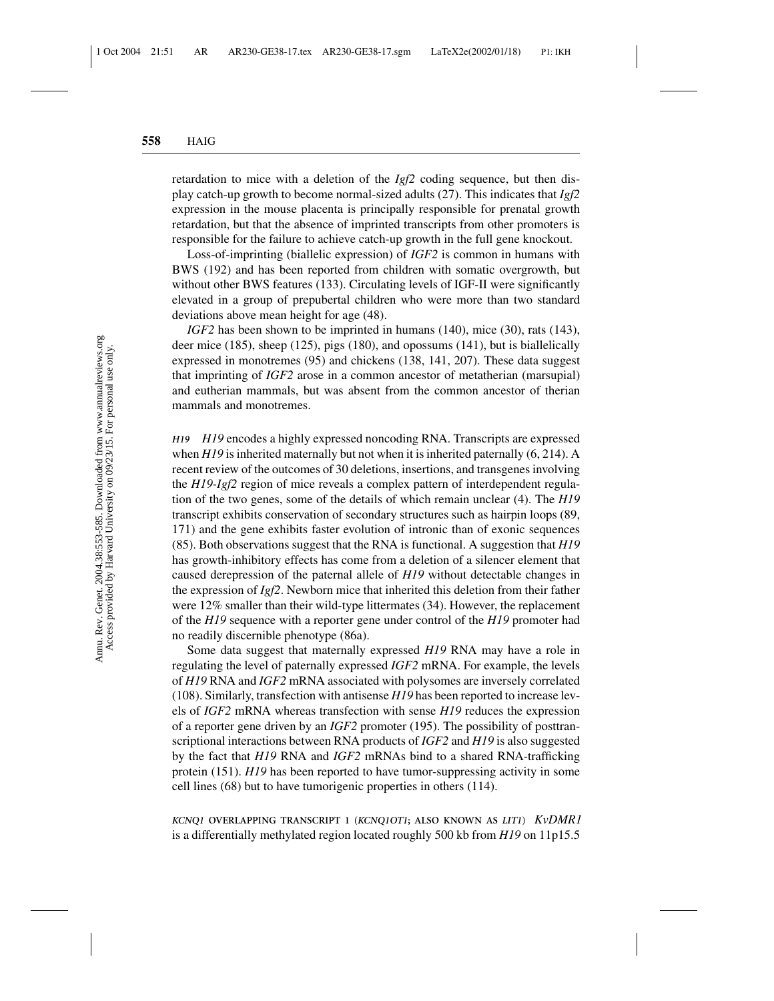retardation to mice with a deletion of the *Igf2* coding sequence, but then display catch-up growth to become normal-sized adults (27). This indicates that *Igf2* expression in the mouse placenta is principally responsible for prenatal growth retardation, but that the absence of imprinted transcripts from other promoters is responsible for the failure to achieve catch-up growth in the full gene knockout.

Loss-of-imprinting (biallelic expression) of *IGF2* is common in humans with BWS (192) and has been reported from children with somatic overgrowth, but without other BWS features (133). Circulating levels of IGF-II were significantly elevated in a group of prepubertal children who were more than two standard deviations above mean height for age (48).

*IGF2* has been shown to be imprinted in humans (140), mice (30), rats (143), deer mice (185), sheep (125), pigs (180), and opossums (141), but is biallelically expressed in monotremes (95) and chickens (138, 141, 207). These data suggest that imprinting of *IGF2* arose in a common ancestor of metatherian (marsupial) and eutherian mammals, but was absent from the common ancestor of therian mammals and monotremes.

*H19 H19* encodes a highly expressed noncoding RNA. Transcripts are expressed when *H19* is inherited maternally but not when it is inherited paternally (6, 214). A recent review of the outcomes of 30 deletions, insertions, and transgenes involving the *H19-Igf2* region of mice reveals a complex pattern of interdependent regulation of the two genes, some of the details of which remain unclear (4). The *H19* transcript exhibits conservation of secondary structures such as hairpin loops (89, 171) and the gene exhibits faster evolution of intronic than of exonic sequences (85). Both observations suggest that the RNA is functional. A suggestion that *H19* has growth-inhibitory effects has come from a deletion of a silencer element that caused derepression of the paternal allele of *H19* without detectable changes in the expression of *Igf2*. Newborn mice that inherited this deletion from their father were 12% smaller than their wild-type littermates (34). However, the replacement of the *H19* sequence with a reporter gene under control of the *H19* promoter had no readily discernible phenotype (86a).

Some data suggest that maternally expressed *H19* RNA may have a role in regulating the level of paternally expressed *IGF2* mRNA. For example, the levels of *H19* RNA and *IGF2* mRNA associated with polysomes are inversely correlated (108). Similarly, transfection with antisense *H19* has been reported to increase levels of *IGF2* mRNA whereas transfection with sense *H19* reduces the expression of a reporter gene driven by an *IGF2* promoter (195). The possibility of posttranscriptional interactions between RNA products of *IGF2* and *H19* is also suggested by the fact that *H19* RNA and *IGF2* mRNAs bind to a shared RNA-trafficking protein (151). *H19* has been reported to have tumor-suppressing activity in some cell lines (68) but to have tumorigenic properties in others (114).

*KCNQ1* **OVERLAPPING TRANSCRIPT 1 (***KCNQ1OT1***; ALSO KNOWN AS** *LIT1***)** *KvDMR1* is a differentially methylated region located roughly 500 kb from *H19* on 11p15.5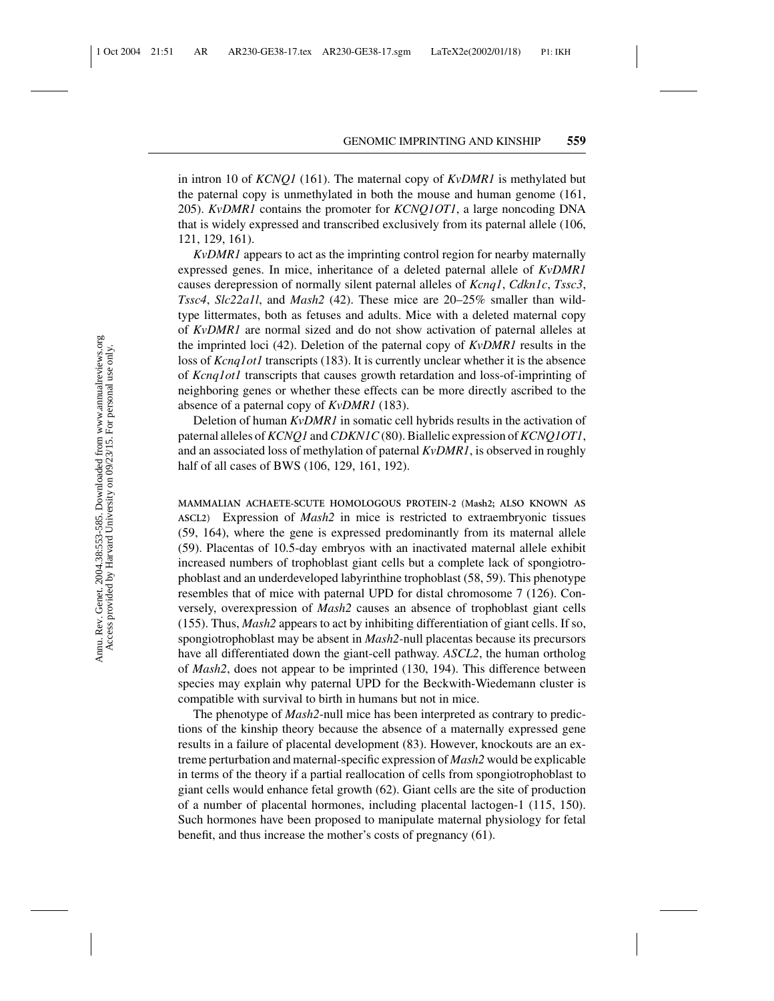in intron 10 of *KCNQ1* (161). The maternal copy of *KvDMR1* is methylated but the paternal copy is unmethylated in both the mouse and human genome (161, 205). *KvDMR1* contains the promoter for *KCNQ1OT1*, a large noncoding DNA that is widely expressed and transcribed exclusively from its paternal allele (106, 121, 129, 161).

*KvDMR1* appears to act as the imprinting control region for nearby maternally expressed genes. In mice, inheritance of a deleted paternal allele of *KvDMR1* causes derepression of normally silent paternal alleles of *Kcnq1*, *Cdkn1c*, *Tssc3*, *Tssc4*, *Slc22a1l*, and *Mash2* (42). These mice are 20–25% smaller than wildtype littermates, both as fetuses and adults. Mice with a deleted maternal copy of *KvDMR1* are normal sized and do not show activation of paternal alleles at the imprinted loci (42). Deletion of the paternal copy of *KvDMR1* results in the loss of *Kcnq1ot1* transcripts (183). It is currently unclear whether it is the absence of *Kcnq1ot1* transcripts that causes growth retardation and loss-of-imprinting of neighboring genes or whether these effects can be more directly ascribed to the absence of a paternal copy of *KvDMR1* (183).

Deletion of human *KvDMR1* in somatic cell hybrids results in the activation of paternal alleles of*KCNQ1* and*CDKN1C*(80). Biallelic expression of*KCNQ1OT1*, and an associated loss of methylation of paternal *KvDMR1*, is observed in roughly half of all cases of BWS (106, 129, 161, 192).

**MAMMALIAN ACHAETE-SCUTE HOMOLOGOUS PROTEIN-2 (Mash2; ALSO KNOWN AS ASCL2)** Expression of *Mash2* in mice is restricted to extraembryonic tissues (59, 164), where the gene is expressed predominantly from its maternal allele (59). Placentas of 10.5-day embryos with an inactivated maternal allele exhibit increased numbers of trophoblast giant cells but a complete lack of spongiotrophoblast and an underdeveloped labyrinthine trophoblast (58, 59). This phenotype resembles that of mice with paternal UPD for distal chromosome 7 (126). Conversely, overexpression of *Mash2* causes an absence of trophoblast giant cells (155). Thus, *Mash2* appears to act by inhibiting differentiation of giant cells. If so, spongiotrophoblast may be absent in *Mash2-*null placentas because its precursors have all differentiated down the giant-cell pathway. *ASCL2*, the human ortholog of *Mash2*, does not appear to be imprinted (130, 194). This difference between species may explain why paternal UPD for the Beckwith-Wiedemann cluster is compatible with survival to birth in humans but not in mice.

The phenotype of *Mash2*-null mice has been interpreted as contrary to predictions of the kinship theory because the absence of a maternally expressed gene results in a failure of placental development (83). However, knockouts are an extreme perturbation and maternal-specific expression of *Mash2* would be explicable in terms of the theory if a partial reallocation of cells from spongiotrophoblast to giant cells would enhance fetal growth (62). Giant cells are the site of production of a number of placental hormones, including placental lactogen-1 (115, 150). Such hormones have been proposed to manipulate maternal physiology for fetal benefit, and thus increase the mother's costs of pregnancy (61).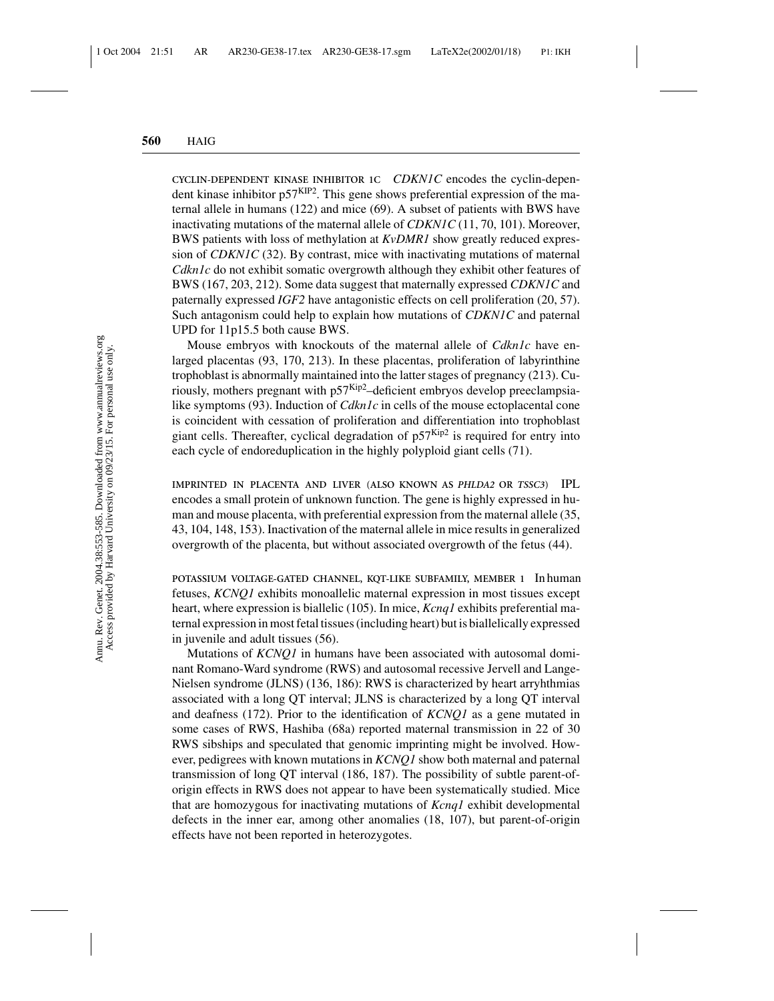**CYCLIN-DEPENDENT KINASE INHIBITOR 1C** *CDKN1C* encodes the cyclin-dependent kinase inhibitor  $p57<sup>KIP2</sup>$ . This gene shows preferential expression of the maternal allele in humans (122) and mice (69). A subset of patients with BWS have inactivating mutations of the maternal allele of *CDKN1C* (11, 70, 101). Moreover, BWS patients with loss of methylation at *KvDMR1* show greatly reduced expression of *CDKN1C* (32). By contrast, mice with inactivating mutations of maternal *Cdkn1c* do not exhibit somatic overgrowth although they exhibit other features of BWS (167, 203, 212). Some data suggest that maternally expressed *CDKN1C* and paternally expressed *IGF2* have antagonistic effects on cell proliferation (20, 57). Such antagonism could help to explain how mutations of *CDKN1C* and paternal UPD for 11p15.5 both cause BWS.

Mouse embryos with knockouts of the maternal allele of *Cdkn1c* have enlarged placentas (93, 170, 213). In these placentas, proliferation of labyrinthine trophoblast is abnormally maintained into the latter stages of pregnancy (213). Curiously, mothers pregnant with  $p57<sup>Kip2</sup>$ -deficient embryos develop preeclampsialike symptoms (93). Induction of *Cdkn1c* in cells of the mouse ectoplacental cone is coincident with cessation of proliferation and differentiation into trophoblast giant cells. Thereafter, cyclical degradation of  $p57<sup>Kip2</sup>$  is required for entry into each cycle of endoreduplication in the highly polyploid giant cells (71).

**IMPRINTED IN PLACENTA AND LIVER (ALSO KNOWN AS** *PHLDA2* **OR** *TSSC3***)** IPL encodes a small protein of unknown function. The gene is highly expressed in human and mouse placenta, with preferential expression from the maternal allele (35, 43, 104, 148, 153). Inactivation of the maternal allele in mice results in generalized overgrowth of the placenta, but without associated overgrowth of the fetus (44).

**POTASSIUM VOLTAGE-GATED CHANNEL, KQT-LIKE SUBFAMILY, MEMBER 1** In human fetuses, *KCNQ1* exhibits monoallelic maternal expression in most tissues except heart, where expression is biallelic (105). In mice, *Kcnq1* exhibits preferential maternal expression in most fetal tissues (including heart) but is biallelically expressed in juvenile and adult tissues (56).

Mutations of *KCNQ1* in humans have been associated with autosomal dominant Romano-Ward syndrome (RWS) and autosomal recessive Jervell and Lange-Nielsen syndrome (JLNS) (136, 186): RWS is characterized by heart arryhthmias associated with a long QT interval; JLNS is characterized by a long QT interval and deafness (172). Prior to the identification of *KCNQ1* as a gene mutated in some cases of RWS, Hashiba (68a) reported maternal transmission in 22 of 30 RWS sibships and speculated that genomic imprinting might be involved. However, pedigrees with known mutations in *KCNQ1* show both maternal and paternal transmission of long QT interval (186, 187). The possibility of subtle parent-oforigin effects in RWS does not appear to have been systematically studied. Mice that are homozygous for inactivating mutations of *Kcnq1* exhibit developmental defects in the inner ear, among other anomalies (18, 107), but parent-of-origin effects have not been reported in heterozygotes.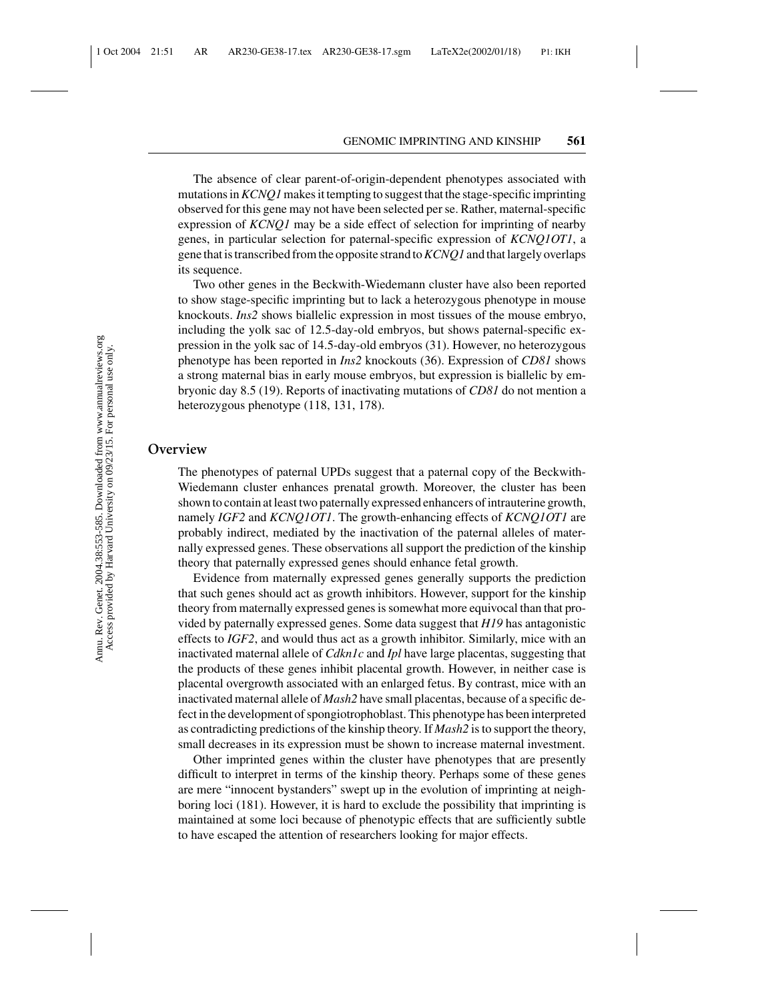The absence of clear parent-of-origin-dependent phenotypes associated with mutations in*KCNQ1*makes it tempting to suggest that the stage-specific imprinting observed for this gene may not have been selected per se. Rather, maternal-specific expression of *KCNQ1* may be a side effect of selection for imprinting of nearby genes, in particular selection for paternal-specific expression of *KCNQ1OT1*, a gene that is transcribed from the opposite strand to*KCNQ1* and that largely overlaps its sequence.

Two other genes in the Beckwith-Wiedemann cluster have also been reported to show stage-specific imprinting but to lack a heterozygous phenotype in mouse knockouts. *Ins2* shows biallelic expression in most tissues of the mouse embryo, including the yolk sac of 12.5-day-old embryos, but shows paternal-specific expression in the yolk sac of 14.5-day-old embryos (31). However, no heterozygous phenotype has been reported in *Ins2* knockouts (36). Expression of *CD81* shows a strong maternal bias in early mouse embryos, but expression is biallelic by embryonic day 8.5 (19). Reports of inactivating mutations of *CD81* do not mention a heterozygous phenotype (118, 131, 178).

#### **Overview**

The phenotypes of paternal UPDs suggest that a paternal copy of the Beckwith-Wiedemann cluster enhances prenatal growth. Moreover, the cluster has been shown to contain at least two paternally expressed enhancers of intrauterine growth, namely *IGF2* and *KCNQ1OT1*. The growth-enhancing effects of *KCNQ1OT1* are probably indirect, mediated by the inactivation of the paternal alleles of maternally expressed genes. These observations all support the prediction of the kinship theory that paternally expressed genes should enhance fetal growth.

Evidence from maternally expressed genes generally supports the prediction that such genes should act as growth inhibitors. However, support for the kinship theory from maternally expressed genes is somewhat more equivocal than that provided by paternally expressed genes. Some data suggest that *H19* has antagonistic effects to *IGF2*, and would thus act as a growth inhibitor. Similarly, mice with an inactivated maternal allele of *Cdkn1c* and *Ipl* have large placentas, suggesting that the products of these genes inhibit placental growth. However, in neither case is placental overgrowth associated with an enlarged fetus. By contrast, mice with an inactivated maternal allele of *Mash2* have small placentas, because of a specific defect in the development of spongiotrophoblast. This phenotype has been interpreted as contradicting predictions of the kinship theory. If *Mash2* is to support the theory, small decreases in its expression must be shown to increase maternal investment.

Other imprinted genes within the cluster have phenotypes that are presently difficult to interpret in terms of the kinship theory. Perhaps some of these genes are mere "innocent bystanders" swept up in the evolution of imprinting at neighboring loci (181). However, it is hard to exclude the possibility that imprinting is maintained at some loci because of phenotypic effects that are sufficiently subtle to have escaped the attention of researchers looking for major effects.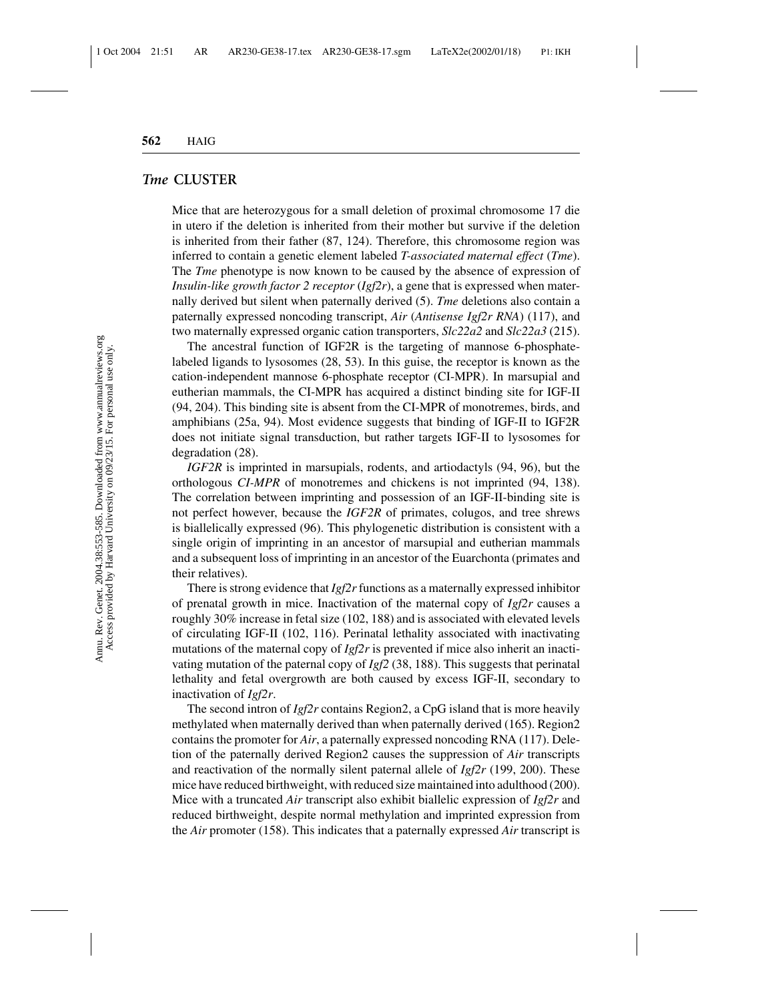#### *Tme* **CLUSTER**

Mice that are heterozygous for a small deletion of proximal chromosome 17 die in utero if the deletion is inherited from their mother but survive if the deletion is inherited from their father (87, 124). Therefore, this chromosome region was inferred to contain a genetic element labeled *T-associated maternal effect* (*Tme*). The *Tme* phenotype is now known to be caused by the absence of expression of *Insulin-like growth factor 2 receptor* (*Igf2r*), a gene that is expressed when maternally derived but silent when paternally derived (5). *Tme* deletions also contain a paternally expressed noncoding transcript, *Air* (*Antisense Igf2r RNA*) (117), and two maternally expressed organic cation transporters, *Slc22a2* and *Slc22a3* (215).

The ancestral function of IGF2R is the targeting of mannose 6-phosphatelabeled ligands to lysosomes (28, 53). In this guise, the receptor is known as the cation-independent mannose 6-phosphate receptor (CI-MPR). In marsupial and eutherian mammals, the CI-MPR has acquired a distinct binding site for IGF-II (94, 204). This binding site is absent from the CI-MPR of monotremes, birds, and amphibians (25a, 94). Most evidence suggests that binding of IGF-II to IGF2R does not initiate signal transduction, but rather targets IGF-II to lysosomes for degradation (28).

*IGF2R* is imprinted in marsupials, rodents, and artiodactyls (94, 96), but the orthologous *CI-MPR* of monotremes and chickens is not imprinted (94, 138). The correlation between imprinting and possession of an IGF-II-binding site is not perfect however, because the *IGF2R* of primates, colugos, and tree shrews is biallelically expressed (96). This phylogenetic distribution is consistent with a single origin of imprinting in an ancestor of marsupial and eutherian mammals and a subsequent loss of imprinting in an ancestor of the Euarchonta (primates and their relatives).

There is strong evidence that *Igf2r*functions as a maternally expressed inhibitor of prenatal growth in mice. Inactivation of the maternal copy of *Igf2r* causes a roughly 30% increase in fetal size (102, 188) and is associated with elevated levels of circulating IGF-II (102, 116). Perinatal lethality associated with inactivating mutations of the maternal copy of *Igf2r* is prevented if mice also inherit an inactivating mutation of the paternal copy of *Igf2* (38, 188). This suggests that perinatal lethality and fetal overgrowth are both caused by excess IGF-II, secondary to inactivation of *Igf2r*.

The second intron of *Igf2r* contains Region2, a CpG island that is more heavily methylated when maternally derived than when paternally derived (165). Region2 contains the promoter for *Air*, a paternally expressed noncoding RNA (117). Deletion of the paternally derived Region2 causes the suppression of *Air* transcripts and reactivation of the normally silent paternal allele of *Igf2r* (199, 200). These mice have reduced birthweight, with reduced size maintained into adulthood (200). Mice with a truncated *Air* transcript also exhibit biallelic expression of *Igf2r* and reduced birthweight, despite normal methylation and imprinted expression from the *Air* promoter (158). This indicates that a paternally expressed *Air* transcript is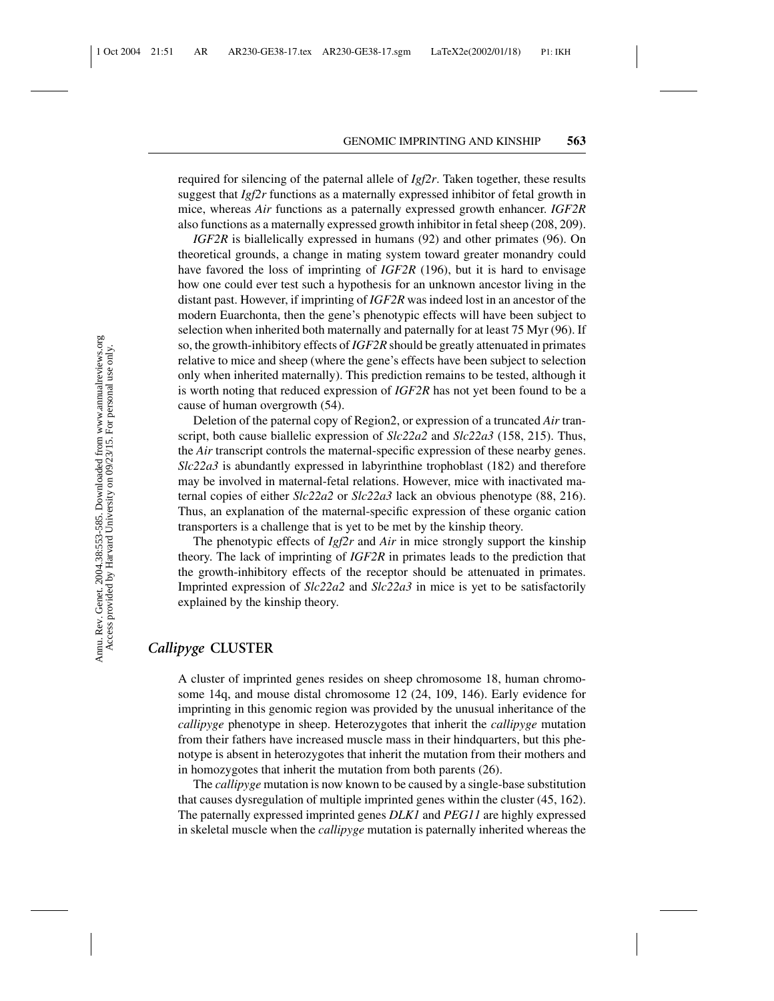required for silencing of the paternal allele of *Igf2r*. Taken together, these results suggest that *Igf2r* functions as a maternally expressed inhibitor of fetal growth in mice, whereas *Air* functions as a paternally expressed growth enhancer. *IGF2R* also functions as a maternally expressed growth inhibitor in fetal sheep (208, 209).

*IGF2R* is biallelically expressed in humans (92) and other primates (96). On theoretical grounds, a change in mating system toward greater monandry could have favored the loss of imprinting of *IGF2R* (196), but it is hard to envisage how one could ever test such a hypothesis for an unknown ancestor living in the distant past. However, if imprinting of *IGF2R* was indeed lost in an ancestor of the modern Euarchonta, then the gene's phenotypic effects will have been subject to selection when inherited both maternally and paternally for at least 75 Myr (96). If so, the growth-inhibitory effects of *IGF2R* should be greatly attenuated in primates relative to mice and sheep (where the gene's effects have been subject to selection only when inherited maternally). This prediction remains to be tested, although it is worth noting that reduced expression of *IGF2R* has not yet been found to be a cause of human overgrowth (54).

Deletion of the paternal copy of Region2, or expression of a truncated *Air* transcript, both cause biallelic expression of *Slc22a2* and *Slc22a3* (158, 215). Thus, the *Air* transcript controls the maternal-specific expression of these nearby genes. *Slc22a3* is abundantly expressed in labyrinthine trophoblast (182) and therefore may be involved in maternal-fetal relations. However, mice with inactivated maternal copies of either *Slc22a2* or *Slc22a3* lack an obvious phenotype (88, 216). Thus, an explanation of the maternal-specific expression of these organic cation transporters is a challenge that is yet to be met by the kinship theory.

The phenotypic effects of *Igf2r* and *Air* in mice strongly support the kinship theory. The lack of imprinting of *IGF2R* in primates leads to the prediction that the growth-inhibitory effects of the receptor should be attenuated in primates. Imprinted expression of *Slc22a2* and *Slc22a3* in mice is yet to be satisfactorily explained by the kinship theory.

# *Callipyge* **CLUSTER**

A cluster of imprinted genes resides on sheep chromosome 18, human chromosome 14q, and mouse distal chromosome 12 (24, 109, 146). Early evidence for imprinting in this genomic region was provided by the unusual inheritance of the *callipyge* phenotype in sheep. Heterozygotes that inherit the *callipyge* mutation from their fathers have increased muscle mass in their hindquarters, but this phenotype is absent in heterozygotes that inherit the mutation from their mothers and in homozygotes that inherit the mutation from both parents (26).

The *callipyge* mutation is now known to be caused by a single-base substitution that causes dysregulation of multiple imprinted genes within the cluster (45, 162). The paternally expressed imprinted genes *DLK1* and *PEG11* are highly expressed in skeletal muscle when the *callipyge* mutation is paternally inherited whereas the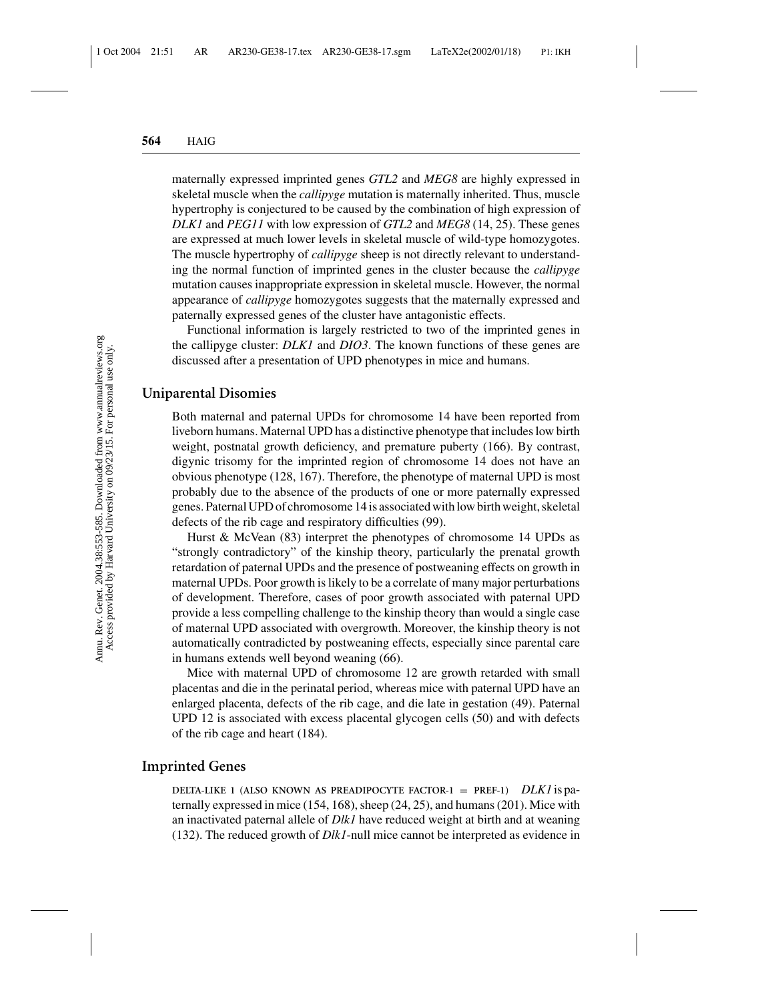maternally expressed imprinted genes *GTL2* and *MEG8* are highly expressed in skeletal muscle when the *callipyge* mutation is maternally inherited. Thus, muscle hypertrophy is conjectured to be caused by the combination of high expression of *DLK1* and *PEG11* with low expression of *GTL2* and *MEG8* (14, 25). These genes are expressed at much lower levels in skeletal muscle of wild-type homozygotes. The muscle hypertrophy of *callipyge* sheep is not directly relevant to understanding the normal function of imprinted genes in the cluster because the *callipyge* mutation causes inappropriate expression in skeletal muscle. However, the normal appearance of *callipyge* homozygotes suggests that the maternally expressed and paternally expressed genes of the cluster have antagonistic effects.

Functional information is largely restricted to two of the imprinted genes in the callipyge cluster: *DLK1* and *DIO3*. The known functions of these genes are discussed after a presentation of UPD phenotypes in mice and humans.

#### **Uniparental Disomies**

Both maternal and paternal UPDs for chromosome 14 have been reported from liveborn humans. Maternal UPD has a distinctive phenotype that includes low birth weight, postnatal growth deficiency, and premature puberty (166). By contrast, digynic trisomy for the imprinted region of chromosome 14 does not have an obvious phenotype (128, 167). Therefore, the phenotype of maternal UPD is most probably due to the absence of the products of one or more paternally expressed genes. Paternal UPD of chromosome 14 is associated with low birth weight, skeletal defects of the rib cage and respiratory difficulties (99).

Hurst & McVean (83) interpret the phenotypes of chromosome 14 UPDs as "strongly contradictory" of the kinship theory, particularly the prenatal growth retardation of paternal UPDs and the presence of postweaning effects on growth in maternal UPDs. Poor growth is likely to be a correlate of many major perturbations of development. Therefore, cases of poor growth associated with paternal UPD provide a less compelling challenge to the kinship theory than would a single case of maternal UPD associated with overgrowth. Moreover, the kinship theory is not automatically contradicted by postweaning effects, especially since parental care in humans extends well beyond weaning (66).

Mice with maternal UPD of chromosome 12 are growth retarded with small placentas and die in the perinatal period, whereas mice with paternal UPD have an enlarged placenta, defects of the rib cage, and die late in gestation (49). Paternal UPD 12 is associated with excess placental glycogen cells (50) and with defects of the rib cage and heart (184).

## **Imprinted Genes**

**DELTA-LIKE 1 (ALSO KNOWN AS PREADIPOCYTE FACTOR-1** <sup>=</sup> **PREF-1)** *DLK1* is paternally expressed in mice (154, 168), sheep (24, 25), and humans (201). Mice with an inactivated paternal allele of *Dlk1* have reduced weight at birth and at weaning (132). The reduced growth of *Dlk1*-null mice cannot be interpreted as evidence in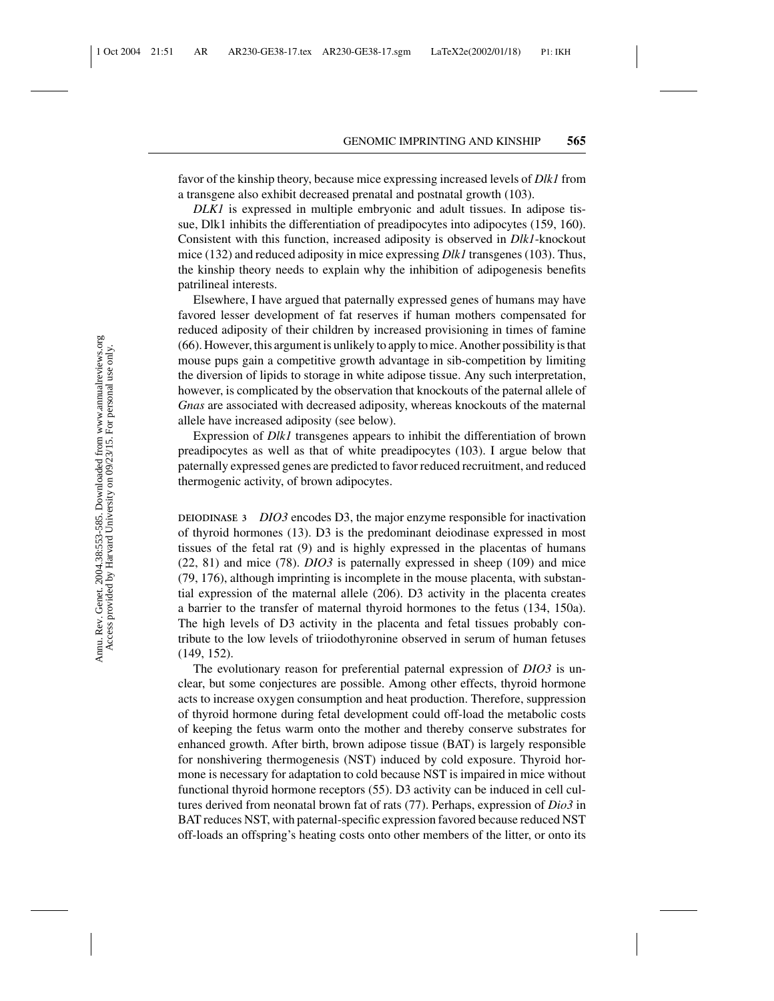favor of the kinship theory, because mice expressing increased levels of *Dlk1* from a transgene also exhibit decreased prenatal and postnatal growth (103).

*DLK1* is expressed in multiple embryonic and adult tissues. In adipose tissue, Dlk1 inhibits the differentiation of preadipocytes into adipocytes (159, 160). Consistent with this function, increased adiposity is observed in *Dlk1*-knockout mice (132) and reduced adiposity in mice expressing *Dlk1* transgenes (103). Thus, the kinship theory needs to explain why the inhibition of adipogenesis benefits patrilineal interests.

Elsewhere, I have argued that paternally expressed genes of humans may have favored lesser development of fat reserves if human mothers compensated for reduced adiposity of their children by increased provisioning in times of famine (66). However, this argument is unlikely to apply to mice. Another possibility is that mouse pups gain a competitive growth advantage in sib-competition by limiting the diversion of lipids to storage in white adipose tissue. Any such interpretation, however, is complicated by the observation that knockouts of the paternal allele of *Gnas* are associated with decreased adiposity, whereas knockouts of the maternal allele have increased adiposity (see below).

Expression of *Dlk1* transgenes appears to inhibit the differentiation of brown preadipocytes as well as that of white preadipocytes (103). I argue below that paternally expressed genes are predicted to favor reduced recruitment, and reduced thermogenic activity, of brown adipocytes.

**DEIODINASE 3** *DIO3* encodes D3, the major enzyme responsible for inactivation of thyroid hormones (13). D3 is the predominant deiodinase expressed in most tissues of the fetal rat (9) and is highly expressed in the placentas of humans (22, 81) and mice (78). *DIO3* is paternally expressed in sheep (109) and mice (79, 176), although imprinting is incomplete in the mouse placenta, with substantial expression of the maternal allele (206). D3 activity in the placenta creates a barrier to the transfer of maternal thyroid hormones to the fetus (134, 150a). The high levels of D3 activity in the placenta and fetal tissues probably contribute to the low levels of triiodothyronine observed in serum of human fetuses (149, 152).

The evolutionary reason for preferential paternal expression of *DIO3* is unclear, but some conjectures are possible. Among other effects, thyroid hormone acts to increase oxygen consumption and heat production. Therefore, suppression of thyroid hormone during fetal development could off-load the metabolic costs of keeping the fetus warm onto the mother and thereby conserve substrates for enhanced growth. After birth, brown adipose tissue (BAT) is largely responsible for nonshivering thermogenesis (NST) induced by cold exposure. Thyroid hormone is necessary for adaptation to cold because NST is impaired in mice without functional thyroid hormone receptors (55). D3 activity can be induced in cell cultures derived from neonatal brown fat of rats (77). Perhaps, expression of *Dio3* in BAT reduces NST, with paternal-specific expression favored because reduced NST off-loads an offspring's heating costs onto other members of the litter, or onto its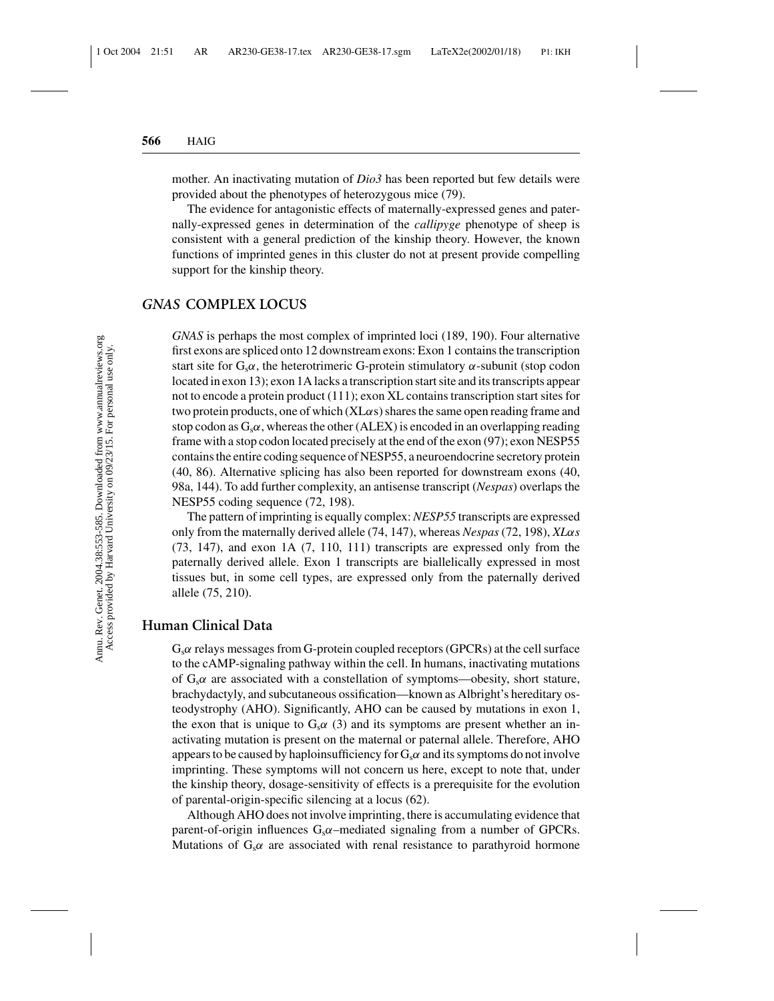mother. An inactivating mutation of *Dio3* has been reported but few details were provided about the phenotypes of heterozygous mice (79).

The evidence for antagonistic effects of maternally-expressed genes and paternally-expressed genes in determination of the *callipyge* phenotype of sheep is consistent with a general prediction of the kinship theory. However, the known functions of imprinted genes in this cluster do not at present provide compelling support for the kinship theory.

## *GNAS* **COMPLEX LOCUS**

*GNAS* is perhaps the most complex of imprinted loci (189, 190). Four alternative first exons are spliced onto 12 downstream exons: Exon 1 contains the transcription start site for  $G_s \alpha$ , the heterotrimeric G-protein stimulatory  $\alpha$ -subunit (stop codon located in exon 13); exon 1A lacks a transcription start site and its transcripts appear not to encode a protein product (111); exon XL contains transcription start sites for two protein products, one of which  $(XL\alpha s)$  shares the same open reading frame and stop codon as  $G_s\alpha$ , whereas the other (ALEX) is encoded in an overlapping reading frame with a stop codon located precisely at the end of the exon (97); exon NESP55 contains the entire coding sequence of NESP55, a neuroendocrine secretory protein (40, 86). Alternative splicing has also been reported for downstream exons (40, 98a, 144). To add further complexity, an antisense transcript (*Nespas*) overlaps the NESP55 coding sequence (72, 198).

The pattern of imprinting is equally complex: *NESP55* transcripts are expressed only from the maternally derived allele (74, 147), whereas *Nespas* (72, 198), *XL*α*s* (73, 147), and exon 1A (7, 110, 111) transcripts are expressed only from the paternally derived allele. Exon 1 transcripts are biallelically expressed in most tissues but, in some cell types, are expressed only from the paternally derived allele (75, 210).

#### **Human Clinical Data**

 $G_s\alpha$  relays messages from G-protein coupled receptors (GPCRs) at the cell surface to the cAMP-signaling pathway within the cell. In humans, inactivating mutations of  $G_s \alpha$  are associated with a constellation of symptoms—obesity, short stature, brachydactyly, and subcutaneous ossification—known as Albright's hereditary osteodystrophy (AHO). Significantly, AHO can be caused by mutations in exon 1, the exon that is unique to  $G<sub>s</sub> \alpha$  (3) and its symptoms are present whether an inactivating mutation is present on the maternal or paternal allele. Therefore, AHO appears to be caused by haploinsufficiency for  $G_s\alpha$  and its symptoms do not involve imprinting. These symptoms will not concern us here, except to note that, under the kinship theory, dosage-sensitivity of effects is a prerequisite for the evolution of parental-origin-specific silencing at a locus (62).

Although AHO does not involve imprinting, there is accumulating evidence that parent-of-origin influences  $G_s \alpha$ -mediated signaling from a number of GPCRs. Mutations of  $G_s \alpha$  are associated with renal resistance to parathyroid hormone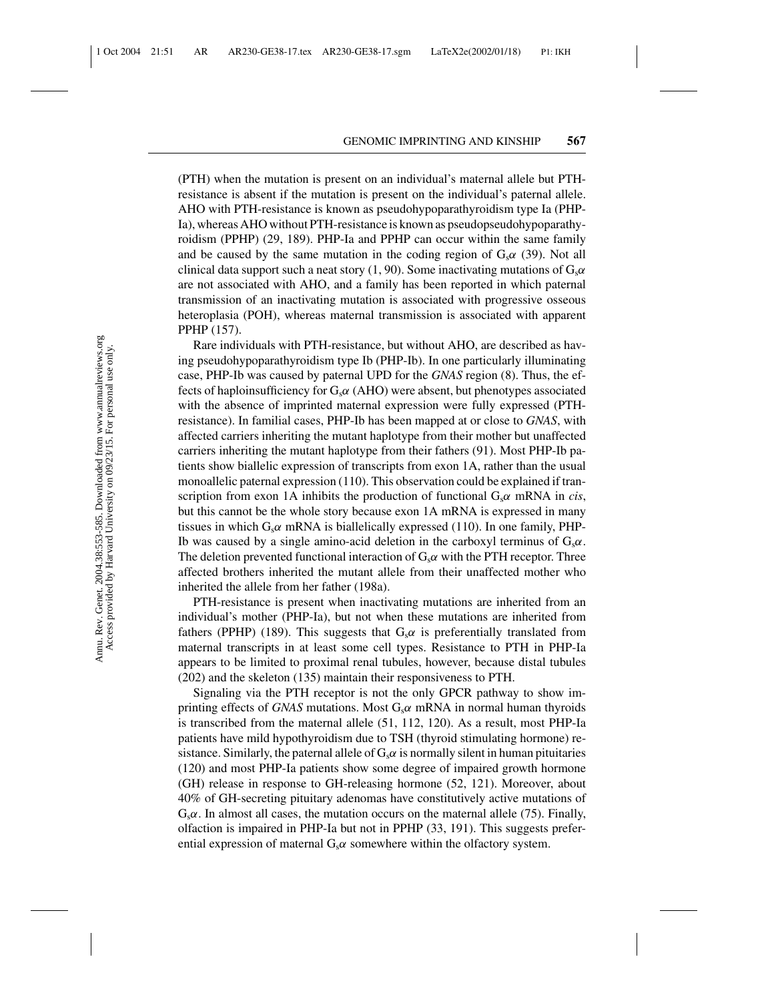(PTH) when the mutation is present on an individual's maternal allele but PTHresistance is absent if the mutation is present on the individual's paternal allele. AHO with PTH-resistance is known as pseudohypoparathyroidism type Ia (PHP-Ia), whereas AHO without PTH-resistance is known as pseudopseudohypoparathyroidism (PPHP) (29, 189). PHP-Ia and PPHP can occur within the same family and be caused by the same mutation in the coding region of  $G_s \alpha$  (39). Not all clinical data support such a neat story (1, 90). Some inactivating mutations of  $G_s \alpha$ are not associated with AHO, and a family has been reported in which paternal transmission of an inactivating mutation is associated with progressive osseous heteroplasia (POH), whereas maternal transmission is associated with apparent PPHP (157).

Rare individuals with PTH-resistance, but without AHO, are described as having pseudohypoparathyroidism type Ib (PHP-Ib). In one particularly illuminating case, PHP-Ib was caused by paternal UPD for the *GNAS* region (8). Thus, the effects of haploinsufficiency for  $G_s\alpha$  (AHO) were absent, but phenotypes associated with the absence of imprinted maternal expression were fully expressed (PTHresistance). In familial cases, PHP-Ib has been mapped at or close to *GNAS*, with affected carriers inheriting the mutant haplotype from their mother but unaffected carriers inheriting the mutant haplotype from their fathers (91). Most PHP-Ib patients show biallelic expression of transcripts from exon 1A, rather than the usual monoallelic paternal expression (110). This observation could be explained if transcription from exon 1A inhibits the production of functional  $G_s \alpha$  mRNA in *cis*, but this cannot be the whole story because exon 1A mRNA is expressed in many tissues in which  $G_s \alpha$  mRNA is biallelically expressed (110). In one family, PHP-Ib was caused by a single amino-acid deletion in the carboxyl terminus of  $G_s \alpha$ . The deletion prevented functional interaction of  $G_s\alpha$  with the PTH receptor. Three affected brothers inherited the mutant allele from their unaffected mother who inherited the allele from her father (198a).

PTH-resistance is present when inactivating mutations are inherited from an individual's mother (PHP-Ia), but not when these mutations are inherited from fathers (PPHP) (189). This suggests that  $G_s \alpha$  is preferentially translated from maternal transcripts in at least some cell types. Resistance to PTH in PHP-Ia appears to be limited to proximal renal tubules, however, because distal tubules (202) and the skeleton (135) maintain their responsiveness to PTH.

Signaling via the PTH receptor is not the only GPCR pathway to show imprinting effects of *GNAS* mutations. Most  $G_s \alpha$  mRNA in normal human thyroids is transcribed from the maternal allele (51, 112, 120). As a result, most PHP-Ia patients have mild hypothyroidism due to TSH (thyroid stimulating hormone) resistance. Similarly, the paternal allele of  $G_s\alpha$  is normally silent in human pituitaries (120) and most PHP-Ia patients show some degree of impaired growth hormone (GH) release in response to GH-releasing hormone (52, 121). Moreover, about 40% of GH-secreting pituitary adenomas have constitutively active mutations of  $G_s \alpha$ . In almost all cases, the mutation occurs on the maternal allele (75). Finally, olfaction is impaired in PHP-Ia but not in PPHP (33, 191). This suggests preferential expression of maternal  $G_s\alpha$  somewhere within the olfactory system.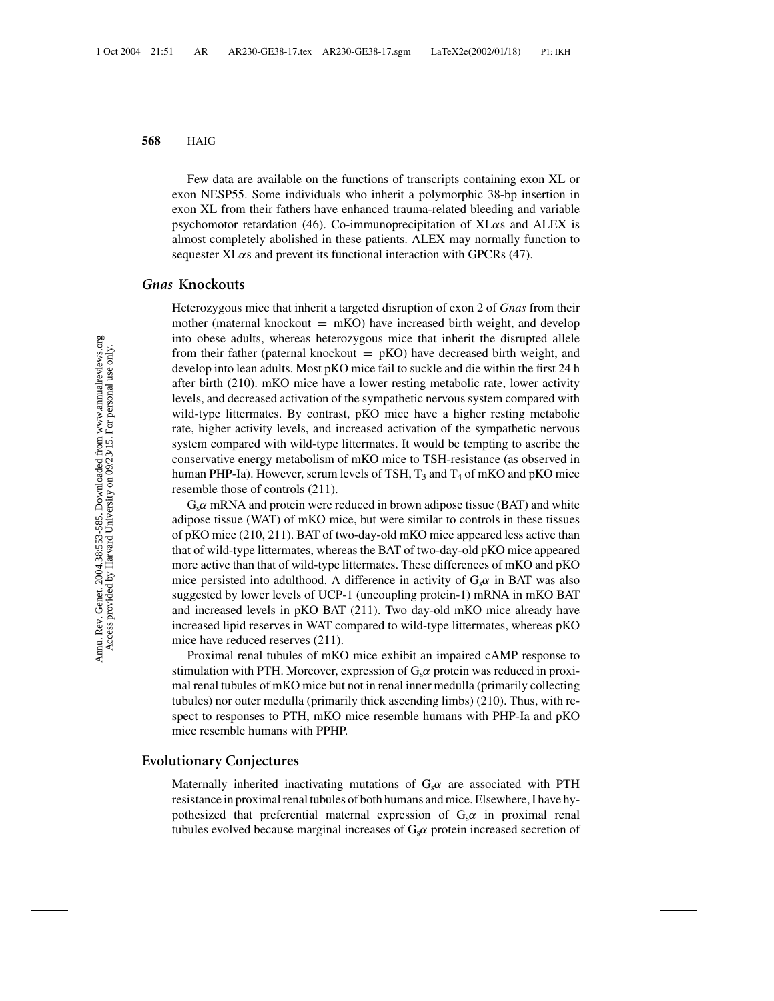Few data are available on the functions of transcripts containing exon XL or exon NESP55. Some individuals who inherit a polymorphic 38-bp insertion in exon XL from their fathers have enhanced trauma-related bleeding and variable psychomotor retardation (46). Co-immunoprecipitation of XLαs and ALEX is almost completely abolished in these patients. ALEX may normally function to sequester  $X$ L $\alpha$ s and prevent its functional interaction with GPCRs (47).

#### *Gnas* **Knockouts**

Heterozygous mice that inherit a targeted disruption of exon 2 of *Gnas* from their mother (maternal knockout  $=$  mKO) have increased birth weight, and develop into obese adults, whereas heterozygous mice that inherit the disrupted allele from their father (paternal knockout  $= p<sub>K</sub>O$ ) have decreased birth weight, and develop into lean adults. Most pKO mice fail to suckle and die within the first 24 h after birth (210). mKO mice have a lower resting metabolic rate, lower activity levels, and decreased activation of the sympathetic nervous system compared with wild-type littermates. By contrast, pKO mice have a higher resting metabolic rate, higher activity levels, and increased activation of the sympathetic nervous system compared with wild-type littermates. It would be tempting to ascribe the conservative energy metabolism of mKO mice to TSH-resistance (as observed in human PHP-Ia). However, serum levels of TSH,  $T_3$  and  $T_4$  of mKO and pKO mice resemble those of controls (211).

 $G_s\alpha$  mRNA and protein were reduced in brown adipose tissue (BAT) and white adipose tissue (WAT) of mKO mice, but were similar to controls in these tissues of pKO mice (210, 211). BAT of two-day-old mKO mice appeared less active than that of wild-type littermates, whereas the BAT of two-day-old pKO mice appeared more active than that of wild-type littermates. These differences of mKO and pKO mice persisted into adulthood. A difference in activity of  $G_s \alpha$  in BAT was also suggested by lower levels of UCP-1 (uncoupling protein-1) mRNA in mKO BAT and increased levels in pKO BAT (211). Two day-old mKO mice already have increased lipid reserves in WAT compared to wild-type littermates, whereas pKO mice have reduced reserves (211).

Proximal renal tubules of mKO mice exhibit an impaired cAMP response to stimulation with PTH. Moreover, expression of  $G_s\alpha$  protein was reduced in proximal renal tubules of mKO mice but not in renal inner medulla (primarily collecting tubules) nor outer medulla (primarily thick ascending limbs) (210). Thus, with respect to responses to PTH, mKO mice resemble humans with PHP-Ia and pKO mice resemble humans with PPHP.

# **Evolutionary Conjectures**

Maternally inherited inactivating mutations of  $G_s \alpha$  are associated with PTH resistance in proximal renal tubules of both humans and mice. Elsewhere, I have hypothesized that preferential maternal expression of  $G_s \alpha$  in proximal renal tubules evolved because marginal increases of  $G_s\alpha$  protein increased secretion of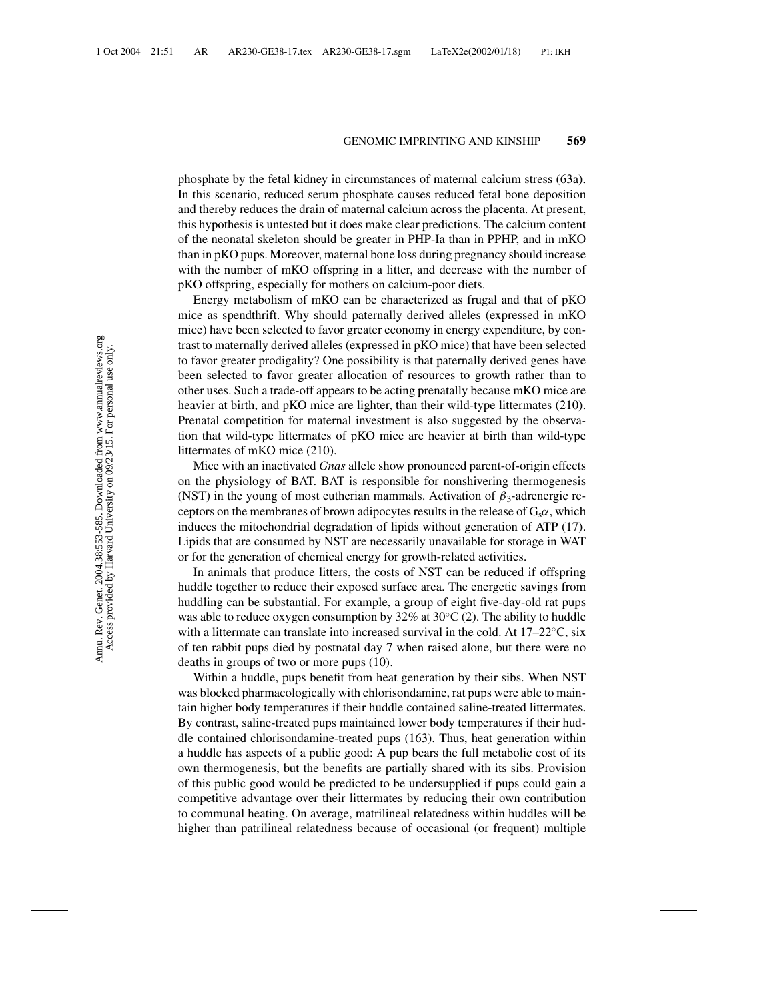phosphate by the fetal kidney in circumstances of maternal calcium stress (63a). In this scenario, reduced serum phosphate causes reduced fetal bone deposition and thereby reduces the drain of maternal calcium across the placenta. At present, this hypothesis is untested but it does make clear predictions. The calcium content of the neonatal skeleton should be greater in PHP-Ia than in PPHP, and in mKO than in pKO pups. Moreover, maternal bone loss during pregnancy should increase with the number of mKO offspring in a litter, and decrease with the number of pKO offspring, especially for mothers on calcium-poor diets.

Energy metabolism of mKO can be characterized as frugal and that of pKO mice as spendthrift. Why should paternally derived alleles (expressed in mKO mice) have been selected to favor greater economy in energy expenditure, by contrast to maternally derived alleles (expressed in pKO mice) that have been selected to favor greater prodigality? One possibility is that paternally derived genes have been selected to favor greater allocation of resources to growth rather than to other uses. Such a trade-off appears to be acting prenatally because mKO mice are heavier at birth, and pKO mice are lighter, than their wild-type littermates (210). Prenatal competition for maternal investment is also suggested by the observation that wild-type littermates of pKO mice are heavier at birth than wild-type littermates of mKO mice (210).

Mice with an inactivated *Gnas* allele show pronounced parent-of-origin effects on the physiology of BAT. BAT is responsible for nonshivering thermogenesis (NST) in the young of most eutherian mammals. Activation of  $\beta_3$ -adrenergic receptors on the membranes of brown adipocytes results in the release of  $G_s\alpha$ , which induces the mitochondrial degradation of lipids without generation of ATP (17). Lipids that are consumed by NST are necessarily unavailable for storage in WAT or for the generation of chemical energy for growth-related activities.

In animals that produce litters, the costs of NST can be reduced if offspring huddle together to reduce their exposed surface area. The energetic savings from huddling can be substantial. For example, a group of eight five-day-old rat pups was able to reduce oxygen consumption by  $32\%$  at  $30^{\circ}$ C (2). The ability to huddle with a littermate can translate into increased survival in the cold. At 17–22<sup>°</sup>C, six of ten rabbit pups died by postnatal day 7 when raised alone, but there were no deaths in groups of two or more pups (10).

Within a huddle, pups benefit from heat generation by their sibs. When NST was blocked pharmacologically with chlorisondamine, rat pups were able to maintain higher body temperatures if their huddle contained saline-treated littermates. By contrast, saline-treated pups maintained lower body temperatures if their huddle contained chlorisondamine-treated pups (163). Thus, heat generation within a huddle has aspects of a public good: A pup bears the full metabolic cost of its own thermogenesis, but the benefits are partially shared with its sibs. Provision of this public good would be predicted to be undersupplied if pups could gain a competitive advantage over their littermates by reducing their own contribution to communal heating. On average, matrilineal relatedness within huddles will be higher than patrilineal relatedness because of occasional (or frequent) multiple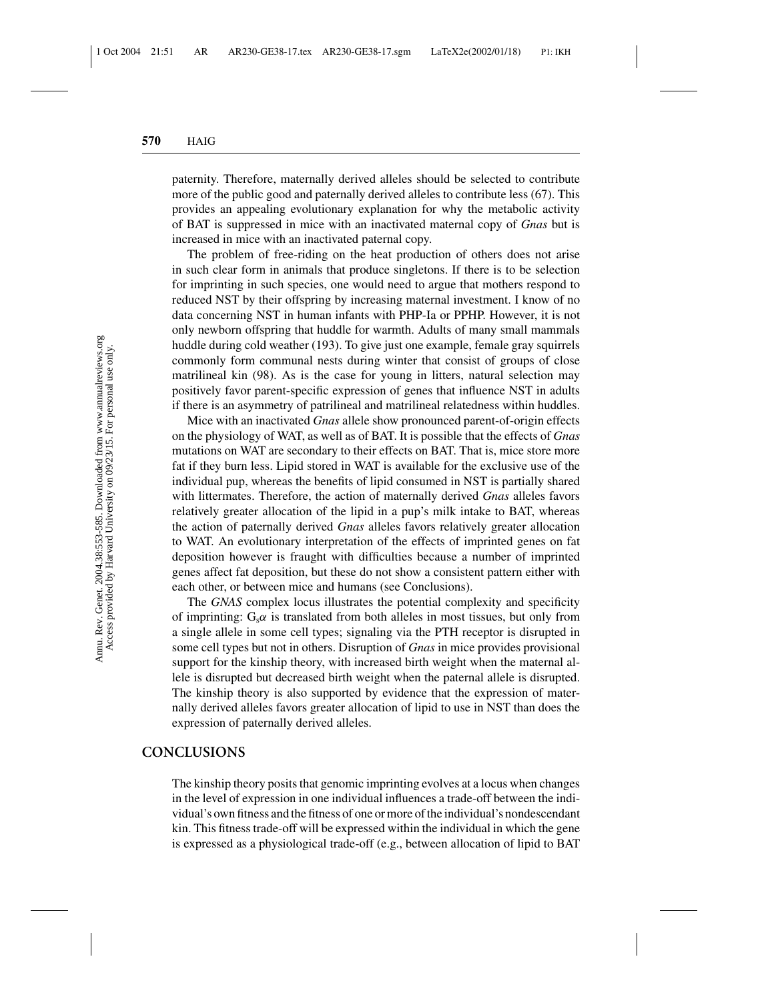paternity. Therefore, maternally derived alleles should be selected to contribute more of the public good and paternally derived alleles to contribute less (67). This provides an appealing evolutionary explanation for why the metabolic activity of BAT is suppressed in mice with an inactivated maternal copy of *Gnas* but is increased in mice with an inactivated paternal copy.

The problem of free-riding on the heat production of others does not arise in such clear form in animals that produce singletons. If there is to be selection for imprinting in such species, one would need to argue that mothers respond to reduced NST by their offspring by increasing maternal investment. I know of no data concerning NST in human infants with PHP-Ia or PPHP. However, it is not only newborn offspring that huddle for warmth. Adults of many small mammals huddle during cold weather (193). To give just one example, female gray squirrels commonly form communal nests during winter that consist of groups of close matrilineal kin (98). As is the case for young in litters, natural selection may positively favor parent-specific expression of genes that influence NST in adults if there is an asymmetry of patrilineal and matrilineal relatedness within huddles.

Mice with an inactivated *Gnas* allele show pronounced parent-of-origin effects on the physiology of WAT, as well as of BAT. It is possible that the effects of *Gnas* mutations on WAT are secondary to their effects on BAT. That is, mice store more fat if they burn less. Lipid stored in WAT is available for the exclusive use of the individual pup, whereas the benefits of lipid consumed in NST is partially shared with littermates. Therefore, the action of maternally derived *Gnas* alleles favors relatively greater allocation of the lipid in a pup's milk intake to BAT, whereas the action of paternally derived *Gnas* alleles favors relatively greater allocation to WAT. An evolutionary interpretation of the effects of imprinted genes on fat deposition however is fraught with difficulties because a number of imprinted genes affect fat deposition, but these do not show a consistent pattern either with each other, or between mice and humans (see Conclusions).

The *GNAS* complex locus illustrates the potential complexity and specificity of imprinting:  $G_s \alpha$  is translated from both alleles in most tissues, but only from a single allele in some cell types; signaling via the PTH receptor is disrupted in some cell types but not in others. Disruption of *Gnas* in mice provides provisional support for the kinship theory, with increased birth weight when the maternal allele is disrupted but decreased birth weight when the paternal allele is disrupted. The kinship theory is also supported by evidence that the expression of maternally derived alleles favors greater allocation of lipid to use in NST than does the expression of paternally derived alleles.

#### **CONCLUSIONS**

The kinship theory posits that genomic imprinting evolves at a locus when changes in the level of expression in one individual influences a trade-off between the individual's own fitness and the fitness of one or more of the individual's nondescendant kin. This fitness trade-off will be expressed within the individual in which the gene is expressed as a physiological trade-off (e.g., between allocation of lipid to BAT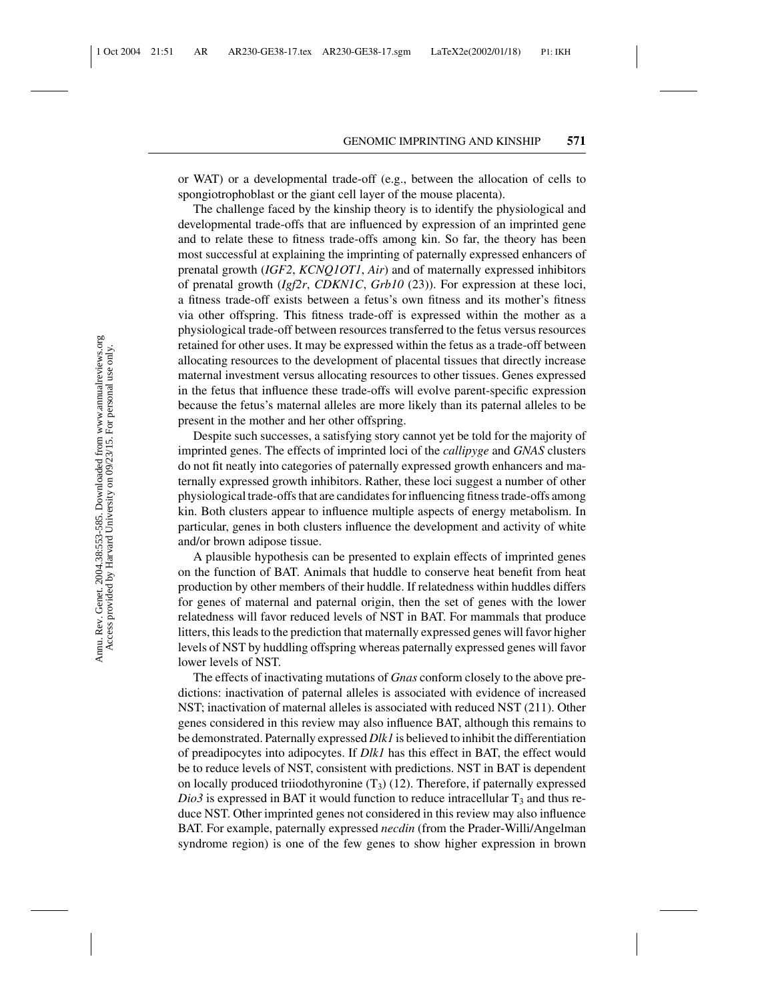or WAT) or a developmental trade-off (e.g., between the allocation of cells to spongiotrophoblast or the giant cell layer of the mouse placenta).

The challenge faced by the kinship theory is to identify the physiological and developmental trade-offs that are influenced by expression of an imprinted gene and to relate these to fitness trade-offs among kin. So far, the theory has been most successful at explaining the imprinting of paternally expressed enhancers of prenatal growth (*IGF2*, *KCNQ1OT1*, *Air*) and of maternally expressed inhibitors of prenatal growth (*Igf2r*, *CDKN1C*, *Grb10* (23)). For expression at these loci, a fitness trade-off exists between a fetus's own fitness and its mother's fitness via other offspring. This fitness trade-off is expressed within the mother as a physiological trade-off between resources transferred to the fetus versus resources retained for other uses. It may be expressed within the fetus as a trade-off between allocating resources to the development of placental tissues that directly increase maternal investment versus allocating resources to other tissues. Genes expressed in the fetus that influence these trade-offs will evolve parent-specific expression because the fetus's maternal alleles are more likely than its paternal alleles to be present in the mother and her other offspring.

Despite such successes, a satisfying story cannot yet be told for the majority of imprinted genes. The effects of imprinted loci of the *callipyge* and *GNAS* clusters do not fit neatly into categories of paternally expressed growth enhancers and maternally expressed growth inhibitors. Rather, these loci suggest a number of other physiological trade-offs that are candidates for influencing fitness trade-offs among kin. Both clusters appear to influence multiple aspects of energy metabolism. In particular, genes in both clusters influence the development and activity of white and/or brown adipose tissue.

A plausible hypothesis can be presented to explain effects of imprinted genes on the function of BAT. Animals that huddle to conserve heat benefit from heat production by other members of their huddle. If relatedness within huddles differs for genes of maternal and paternal origin, then the set of genes with the lower relatedness will favor reduced levels of NST in BAT. For mammals that produce litters, this leads to the prediction that maternally expressed genes will favor higher levels of NST by huddling offspring whereas paternally expressed genes will favor lower levels of NST.

The effects of inactivating mutations of *Gnas* conform closely to the above predictions: inactivation of paternal alleles is associated with evidence of increased NST; inactivation of maternal alleles is associated with reduced NST (211). Other genes considered in this review may also influence BAT, although this remains to be demonstrated. Paternally expressed *Dlk1* is believed to inhibit the differentiation of preadipocytes into adipocytes. If *Dlk1* has this effect in BAT, the effect would be to reduce levels of NST, consistent with predictions. NST in BAT is dependent on locally produced triiodothyronine  $(T_3)$  (12). Therefore, if paternally expressed  $Di\sigma^3$  is expressed in BAT it would function to reduce intracellular  $T_3$  and thus reduce NST. Other imprinted genes not considered in this review may also influence BAT. For example, paternally expressed *necdin* (from the Prader-Willi/Angelman syndrome region) is one of the few genes to show higher expression in brown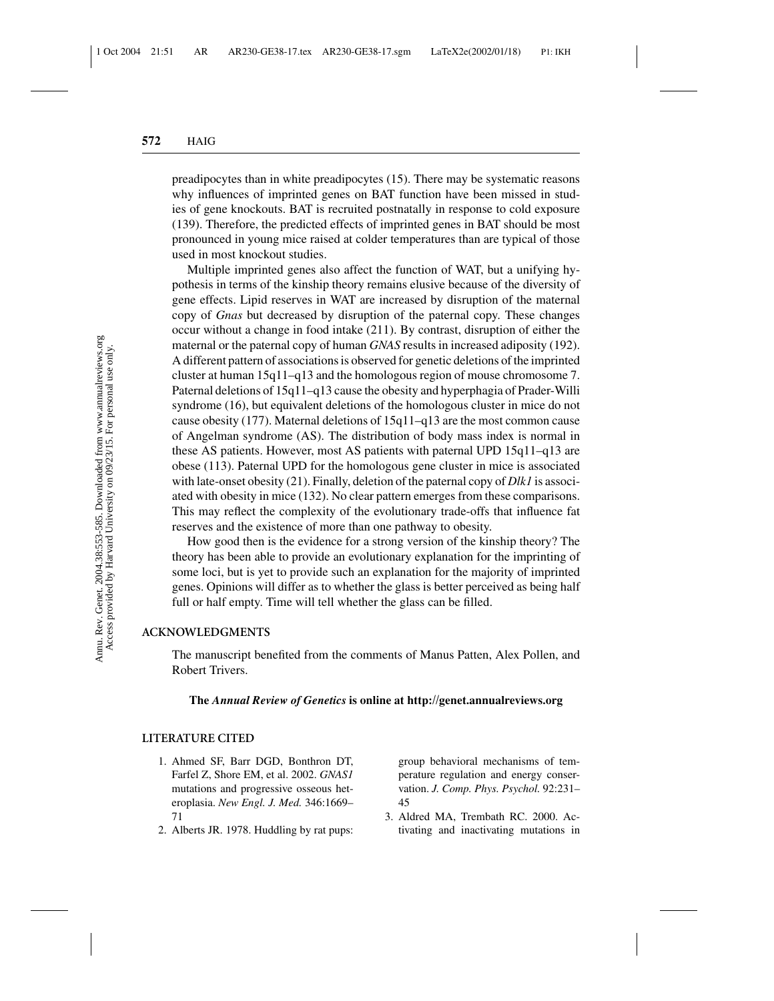preadipocytes than in white preadipocytes (15). There may be systematic reasons why influences of imprinted genes on BAT function have been missed in studies of gene knockouts. BAT is recruited postnatally in response to cold exposure (139). Therefore, the predicted effects of imprinted genes in BAT should be most pronounced in young mice raised at colder temperatures than are typical of those used in most knockout studies.

Multiple imprinted genes also affect the function of WAT, but a unifying hypothesis in terms of the kinship theory remains elusive because of the diversity of gene effects. Lipid reserves in WAT are increased by disruption of the maternal copy of *Gnas* but decreased by disruption of the paternal copy. These changes occur without a change in food intake (211). By contrast, disruption of either the maternal or the paternal copy of human *GNAS* results in increased adiposity (192). A different pattern of associations is observed for genetic deletions of the imprinted cluster at human 15q11–q13 and the homologous region of mouse chromosome 7. Paternal deletions of 15q11–q13 cause the obesity and hyperphagia of Prader-Willi syndrome (16), but equivalent deletions of the homologous cluster in mice do not cause obesity (177). Maternal deletions of 15q11–q13 are the most common cause of Angelman syndrome (AS). The distribution of body mass index is normal in these AS patients. However, most AS patients with paternal UPD 15q11–q13 are obese (113). Paternal UPD for the homologous gene cluster in mice is associated with late-onset obesity (21). Finally, deletion of the paternal copy of *Dlk1* is associated with obesity in mice (132). No clear pattern emerges from these comparisons. This may reflect the complexity of the evolutionary trade-offs that influence fat reserves and the existence of more than one pathway to obesity.

How good then is the evidence for a strong version of the kinship theory? The theory has been able to provide an evolutionary explanation for the imprinting of some loci, but is yet to provide such an explanation for the majority of imprinted genes. Opinions will differ as to whether the glass is better perceived as being half full or half empty. Time will tell whether the glass can be filled.

#### **ACKNOWLEDGMENTS**

The manuscript benefited from the comments of Manus Patten, Alex Pollen, and Robert Trivers.

#### **The** *Annual Review of Genetics* **is online at http://genet.annualreviews.org**

#### **LITERATURE CITED**

- 1. Ahmed SF, Barr DGD, Bonthron DT, Farfel Z, Shore EM, et al. 2002. *GNAS1* mutations and progressive osseous heteroplasia. *New Engl. J. Med.* 346:1669– 71
- 2. Alberts JR. 1978. Huddling by rat pups:

group behavioral mechanisms of temperature regulation and energy conservation. *J. Comp. Phys. Psychol.* 92:231– 45

3. Aldred MA, Trembath RC. 2000. Activating and inactivating mutations in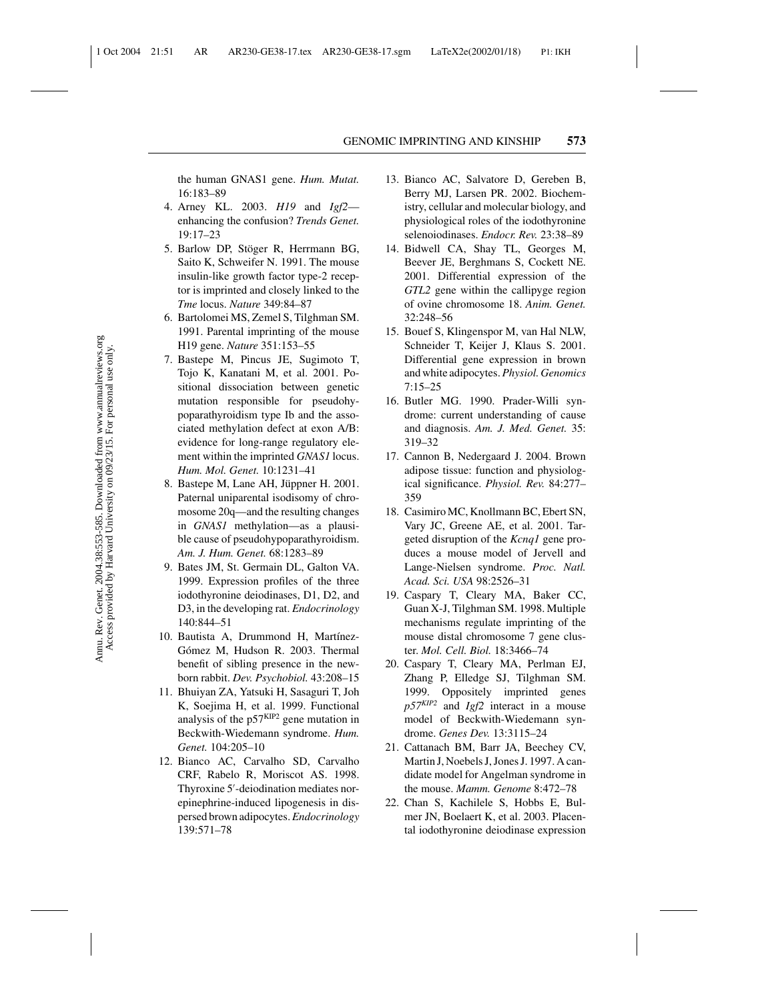the human GNAS1 gene. *Hum. Mutat.* 16:183–89

- 4. Arney KL. 2003. *H19* and *Igf2* enhancing the confusion? *Trends Genet.* 19:17–23
- 5. Barlow DP, Stöger R, Herrmann BG, Saito K, Schweifer N. 1991. The mouse insulin-like growth factor type-2 receptor is imprinted and closely linked to the *Tme* locus. *Nature* 349:84–87
- 6. Bartolomei MS, Zemel S, Tilghman SM. 1991. Parental imprinting of the mouse H19 gene. *Nature* 351:153–55
- 7. Bastepe M, Pincus JE, Sugimoto T, Tojo K, Kanatani M, et al. 2001. Positional dissociation between genetic mutation responsible for pseudohypoparathyroidism type Ib and the associated methylation defect at exon A/B: evidence for long-range regulatory element within the imprinted *GNAS1* locus. *Hum. Mol. Genet.* 10:1231–41
- 8. Bastepe M, Lane AH, Jüppner H. 2001. Paternal uniparental isodisomy of chromosome 20q—and the resulting changes in *GNAS1* methylation—as a plausible cause of pseudohypoparathyroidism. *Am. J. Hum. Genet.* 68:1283–89
- 9. Bates JM, St. Germain DL, Galton VA. 1999. Expression profiles of the three iodothyronine deiodinases, D1, D2, and D3, in the developing rat. *Endocrinology* 140:844–51
- 10. Bautista A, Drummond H, Martínez-Gómez M, Hudson R. 2003. Thermal benefit of sibling presence in the newborn rabbit. *Dev. Psychobiol.* 43:208–15
- 11. Bhuiyan ZA, Yatsuki H, Sasaguri T, Joh K, Soejima H, et al. 1999. Functional analysis of the  $p57<sup>KIP2</sup>$  gene mutation in Beckwith-Wiedemann syndrome. *Hum. Genet.* 104:205–10
- 12. Bianco AC, Carvalho SD, Carvalho CRF, Rabelo R, Moriscot AS. 1998. Thyroxine 5'-deiodination mediates norepinephrine-induced lipogenesis in dispersed brown adipocytes.*Endocrinology* 139:571–78
- 13. Bianco AC, Salvatore D, Gereben B, Berry MJ, Larsen PR. 2002. Biochemistry, cellular and molecular biology, and physiological roles of the iodothyronine selenoiodinases. *Endocr. Rev.* 23:38–89
- 14. Bidwell CA, Shay TL, Georges M, Beever JE, Berghmans S, Cockett NE. 2001. Differential expression of the *GTL2* gene within the callipyge region of ovine chromosome 18. *Anim. Genet.* 32:248–56
- 15. Bouef S, Klingenspor M, van Hal NLW, Schneider T, Keijer J, Klaus S. 2001. Differential gene expression in brown and white adipocytes.*Physiol. Genomics* 7:15–25
- 16. Butler MG. 1990. Prader-Willi syndrome: current understanding of cause and diagnosis. *Am. J. Med. Genet.* 35: 319–32
- 17. Cannon B, Nedergaard J. 2004. Brown adipose tissue: function and physiological significance. *Physiol. Rev.* 84:277– 359
- 18. Casimiro MC, Knollmann BC, Ebert SN, Vary JC, Greene AE, et al. 2001. Targeted disruption of the *Kcnq1* gene produces a mouse model of Jervell and Lange-Nielsen syndrome. *Proc. Natl. Acad. Sci. USA* 98:2526–31
- 19. Caspary T, Cleary MA, Baker CC, Guan X-J, Tilghman SM. 1998. Multiple mechanisms regulate imprinting of the mouse distal chromosome 7 gene cluster. *Mol. Cell. Biol.* 18:3466–74
- 20. Caspary T, Cleary MA, Perlman EJ, Zhang P, Elledge SJ, Tilghman SM. 1999. Oppositely imprinted genes *p57KIP2* and *Igf2* interact in a mouse model of Beckwith-Wiedemann syndrome. *Genes Dev.* 13:3115–24
- 21. Cattanach BM, Barr JA, Beechey CV, Martin J, Noebels J, Jones J. 1997. A candidate model for Angelman syndrome in the mouse. *Mamm. Genome* 8:472–78
- 22. Chan S, Kachilele S, Hobbs E, Bulmer JN, Boelaert K, et al. 2003. Placental iodothyronine deiodinase expression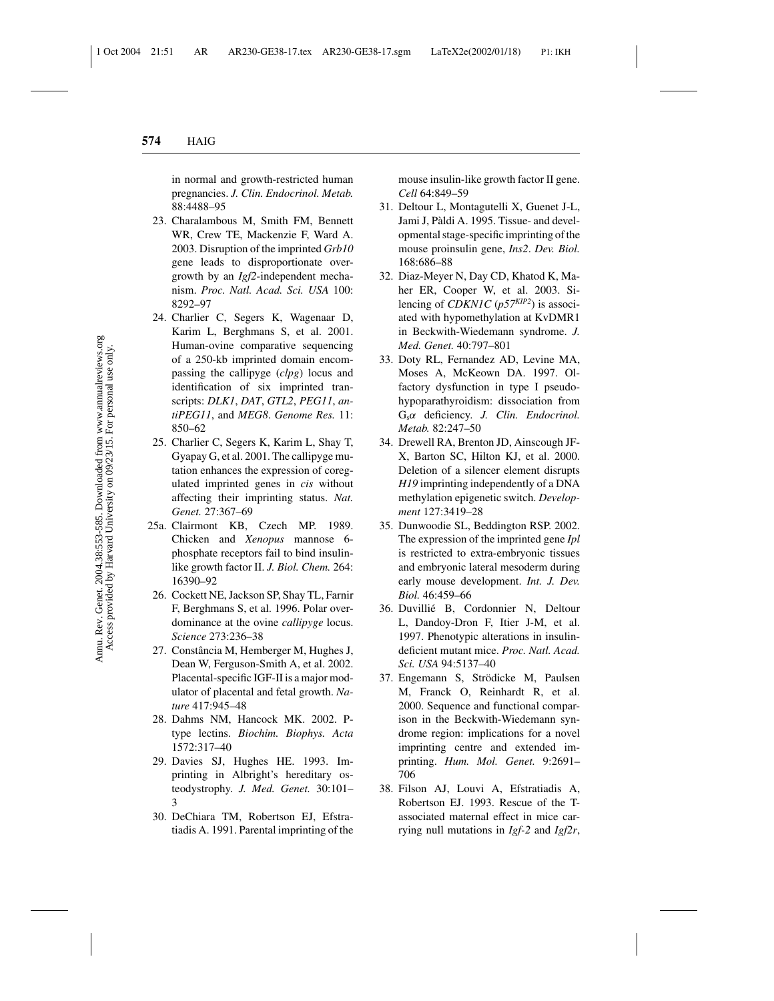in normal and growth-restricted human pregnancies. *J. Clin. Endocrinol. Metab.* 88:4488–95

- 23. Charalambous M, Smith FM, Bennett WR, Crew TE, Mackenzie F, Ward A. 2003. Disruption of the imprinted *Grb10* gene leads to disproportionate overgrowth by an *Igf2*-independent mechanism. *Proc. Natl. Acad. Sci. USA* 100: 8292–97
- 24. Charlier C, Segers K, Wagenaar D, Karim L, Berghmans S, et al. 2001. Human-ovine comparative sequencing of a 250-kb imprinted domain encompassing the callipyge (*clpg*) locus and identification of six imprinted transcripts: *DLK1*, *DAT*, *GTL2*, *PEG11*, *antiPEG11*, and *MEG8*. *Genome Res.* 11: 850–62
- 25. Charlier C, Segers K, Karim L, Shay T, Gyapay G, et al. 2001. The callipyge mutation enhances the expression of coregulated imprinted genes in *cis* without affecting their imprinting status. *Nat. Genet.* 27:367–69
- 25a. Clairmont KB, Czech MP. 1989. Chicken and *Xenopus* mannose 6 phosphate receptors fail to bind insulinlike growth factor II. *J. Biol. Chem.* 264: 16390–92
- 26. Cockett NE, Jackson SP, Shay TL, Farnir F, Berghmans S, et al. 1996. Polar overdominance at the ovine *callipyge* locus. *Science* 273:236–38
- 27. Constância M, Hemberger M, Hughes J, Dean W, Ferguson-Smith A, et al. 2002. Placental-specific IGF-II is a major modulator of placental and fetal growth. *Nature* 417:945–48
- 28. Dahms NM, Hancock MK. 2002. Ptype lectins. *Biochim. Biophys. Acta* 1572:317–40
- 29. Davies SJ, Hughes HE. 1993. Imprinting in Albright's hereditary osteodystrophy. *J. Med. Genet.* 30:101– 3
- 30. DeChiara TM, Robertson EJ, Efstratiadis A. 1991. Parental imprinting of the

mouse insulin-like growth factor II gene. *Cell* 64:849–59

- 31. Deltour L, Montagutelli X, Guenet J-L, Jami J, Pàldi A. 1995. Tissue- and developmental stage-specific imprinting of the mouse proinsulin gene, *Ins2*. *Dev. Biol.* 168:686–88
- 32. Diaz-Meyer N, Day CD, Khatod K, Maher ER, Cooper W, et al. 2003. Silencing of *CDKN1C* (*p57KIP2*) is associated with hypomethylation at KvDMR1 in Beckwith-Wiedemann syndrome. *J. Med. Genet.* 40:797–801
- 33. Doty RL, Fernandez AD, Levine MA, Moses A, McKeown DA. 1997. Olfactory dysfunction in type I pseudohypoparathyroidism: dissociation from Gsα deficiency. *J. Clin. Endocrinol. Metab.* 82:247–50
- 34. Drewell RA, Brenton JD, Ainscough JF-X, Barton SC, Hilton KJ, et al. 2000. Deletion of a silencer element disrupts *H19* imprinting independently of a DNA methylation epigenetic switch. *Development* 127:3419–28
- 35. Dunwoodie SL, Beddington RSP. 2002. The expression of the imprinted gene *Ipl* is restricted to extra-embryonic tissues and embryonic lateral mesoderm during early mouse development. *Int. J. Dev. Biol.* 46:459–66
- 36. Duvillié B, Cordonnier N, Deltour L, Dandoy-Dron F, Itier J-M, et al. 1997. Phenotypic alterations in insulindeficient mutant mice. *Proc. Natl. Acad. Sci. USA* 94:5137–40
- 37. Engemann S, Strödicke M, Paulsen M, Franck O, Reinhardt R, et al. 2000. Sequence and functional comparison in the Beckwith-Wiedemann syndrome region: implications for a novel imprinting centre and extended imprinting. *Hum. Mol. Genet.* 9:2691– 706
- 38. Filson AJ, Louvi A, Efstratiadis A, Robertson EJ. 1993. Rescue of the Tassociated maternal effect in mice carrying null mutations in *Igf-2* and *Igf2r*,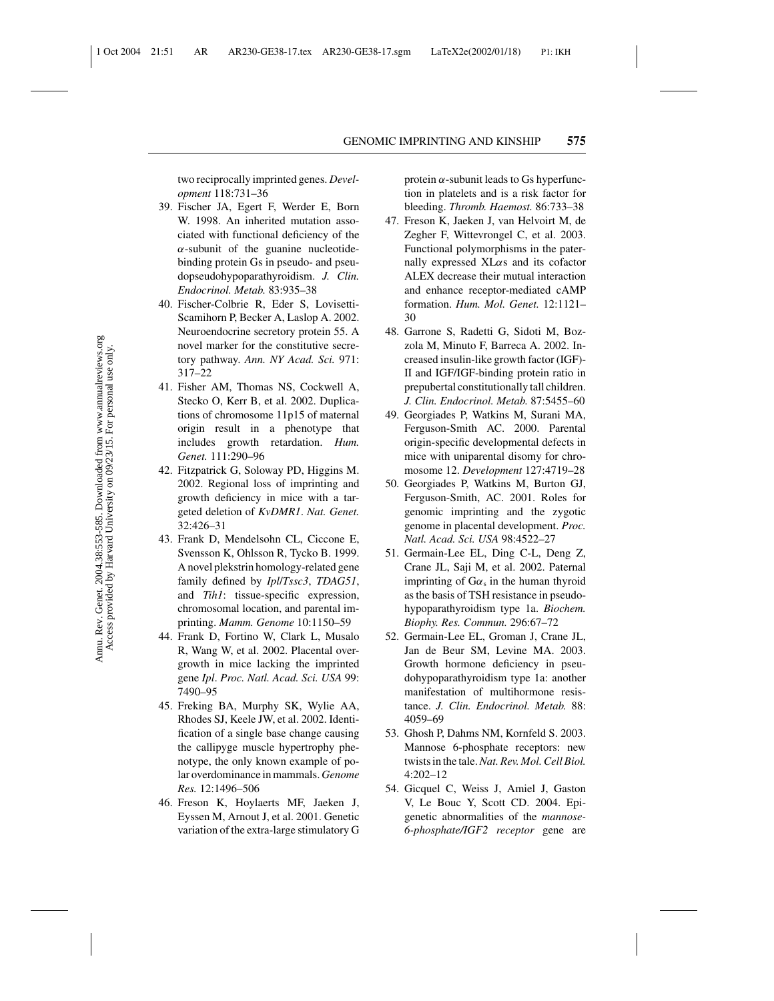two reciprocally imprinted genes. *Development* 118:731–36

- 39. Fischer JA, Egert F, Werder E, Born W. 1998. An inherited mutation associated with functional deficiency of the  $\alpha$ -subunit of the guanine nucleotidebinding protein Gs in pseudo- and pseudopseudohypoparathyroidism. *J. Clin. Endocrinol. Metab.* 83:935–38
- 40. Fischer-Colbrie R, Eder S, Lovisetti-Scamihorn P, Becker A, Laslop A. 2002. Neuroendocrine secretory protein 55. A novel marker for the constitutive secretory pathway. *Ann. NY Acad. Sci.* 971: 317–22
- 41. Fisher AM, Thomas NS, Cockwell A, Stecko O, Kerr B, et al. 2002. Duplications of chromosome 11p15 of maternal origin result in a phenotype that includes growth retardation. *Hum. Genet.* 111:290–96
- 42. Fitzpatrick G, Soloway PD, Higgins M. 2002. Regional loss of imprinting and growth deficiency in mice with a targeted deletion of *KvDMR1*. *Nat. Genet.* 32:426–31
- 43. Frank D, Mendelsohn CL, Ciccone E, Svensson K, Ohlsson R, Tycko B. 1999. A novel plekstrin homology-related gene family defined by *Ipl*/*Tssc3*, *TDAG51*, and *Tih1*: tissue-specific expression, chromosomal location, and parental imprinting. *Mamm. Genome* 10:1150–59
- 44. Frank D, Fortino W, Clark L, Musalo R, Wang W, et al. 2002. Placental overgrowth in mice lacking the imprinted gene *Ipl*. *Proc. Natl. Acad. Sci. USA* 99: 7490–95
- 45. Freking BA, Murphy SK, Wylie AA, Rhodes SJ, Keele JW, et al. 2002. Identification of a single base change causing the callipyge muscle hypertrophy phenotype, the only known example of polar overdominance in mammals. *Genome Res.* 12:1496–506
- 46. Freson K, Hoylaerts MF, Jaeken J, Eyssen M, Arnout J, et al. 2001. Genetic variation of the extra-large stimulatory G

protein  $\alpha$ -subunit leads to Gs hyperfunction in platelets and is a risk factor for bleeding. *Thromb. Haemost.* 86:733–38

- 47. Freson K, Jaeken J, van Helvoirt M, de Zegher F, Wittevrongel C, et al. 2003. Functional polymorphisms in the paternally expressed XLαs and its cofactor ALEX decrease their mutual interaction and enhance receptor-mediated cAMP formation. *Hum. Mol. Genet.* 12:1121– 30
- 48. Garrone S, Radetti G, Sidoti M, Bozzola M, Minuto F, Barreca A. 2002. Increased insulin-like growth factor (IGF)- II and IGF/IGF-binding protein ratio in prepubertal constitutionally tall children. *J. Clin. Endocrinol. Metab.* 87:5455–60
- 49. Georgiades P, Watkins M, Surani MA, Ferguson-Smith AC. 2000. Parental origin-specific developmental defects in mice with uniparental disomy for chromosome 12. *Development* 127:4719–28
- 50. Georgiades P, Watkins M, Burton GJ, Ferguson-Smith, AC. 2001. Roles for genomic imprinting and the zygotic genome in placental development. *Proc. Natl. Acad. Sci. USA* 98:4522–27
- 51. Germain-Lee EL, Ding C-L, Deng Z, Crane JL, Saji M, et al. 2002. Paternal imprinting of  $G\alpha_s$  in the human thyroid as the basis of TSH resistance in pseudohypoparathyroidism type 1a. *Biochem. Biophy. Res. Commun.* 296:67–72
- 52. Germain-Lee EL, Groman J, Crane JL, Jan de Beur SM, Levine MA. 2003. Growth hormone deficiency in pseudohypoparathyroidism type 1a: another manifestation of multihormone resistance. *J. Clin. Endocrinol. Metab.* 88: 4059–69
- 53. Ghosh P, Dahms NM, Kornfeld S. 2003. Mannose 6-phosphate receptors: new twists in the tale.*Nat. Rev. Mol. Cell Biol.* 4:202–12
- 54. Gicquel C, Weiss J, Amiel J, Gaston V, Le Bouc Y, Scott CD. 2004. Epigenetic abnormalities of the *mannose-6-phosphate/IGF2 receptor* gene are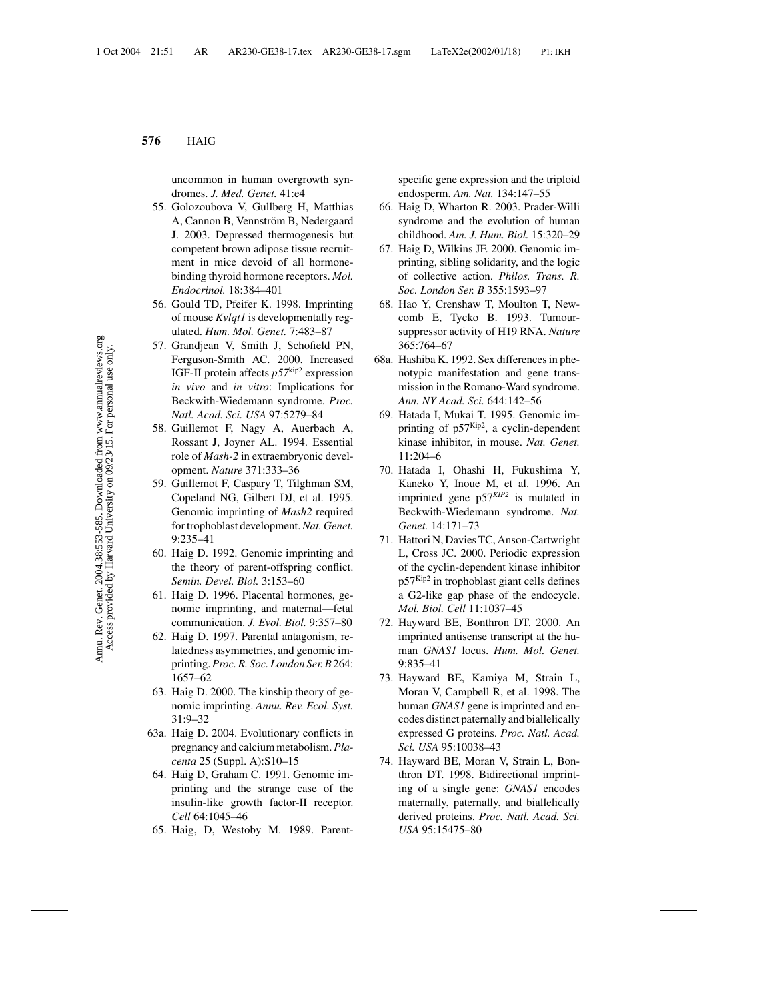uncommon in human overgrowth syndromes. *J. Med. Genet.* 41:e4

- 55. Golozoubova V, Gullberg H, Matthias A, Cannon B, Vennström B, Nedergaard J. 2003. Depressed thermogenesis but competent brown adipose tissue recruitment in mice devoid of all hormonebinding thyroid hormone receptors. *Mol. Endocrinol.* 18:384–401
- 56. Gould TD, Pfeifer K. 1998. Imprinting of mouse *Kvlqt1* is developmentally regulated. *Hum. Mol. Genet.* 7:483–87
- 57. Grandjean V, Smith J, Schofield PN, Ferguson-Smith AC. 2000. Increased IGF-II protein affects *p57*kip2 expression *in vivo* and *in vitro*: Implications for Beckwith-Wiedemann syndrome. *Proc. Natl. Acad. Sci. USA* 97:5279–84
- 58. Guillemot F, Nagy A, Auerbach A, Rossant J, Joyner AL. 1994. Essential role of *Mash-2* in extraembryonic development. *Nature* 371:333–36
- 59. Guillemot F, Caspary T, Tilghman SM, Copeland NG, Gilbert DJ, et al. 1995. Genomic imprinting of *Mash2* required for trophoblast development.*Nat. Genet.* 9:235–41
- 60. Haig D. 1992. Genomic imprinting and the theory of parent-offspring conflict. *Semin. Devel. Biol.* 3:153–60
- 61. Haig D. 1996. Placental hormones, genomic imprinting, and maternal—fetal communication. *J. Evol. Biol.* 9:357–80
- 62. Haig D. 1997. Parental antagonism, relatedness asymmetries, and genomic imprinting.*Proc. R. Soc. London Ser. B*264: 1657–62
- 63. Haig D. 2000. The kinship theory of genomic imprinting. *Annu. Rev. Ecol. Syst.* 31:9–32
- 63a. Haig D. 2004. Evolutionary conflicts in pregnancy and calcium metabolism. *Placenta* 25 (Suppl. A):S10–15
- 64. Haig D, Graham C. 1991. Genomic imprinting and the strange case of the insulin-like growth factor-II receptor. *Cell* 64:1045–46
- 65. Haig, D, Westoby M. 1989. Parent-

specific gene expression and the triploid endosperm. *Am. Nat.* 134:147–55

- 66. Haig D, Wharton R. 2003. Prader-Willi syndrome and the evolution of human childhood. *Am. J. Hum. Biol.* 15:320–29
- 67. Haig D, Wilkins JF. 2000. Genomic imprinting, sibling solidarity, and the logic of collective action. *Philos. Trans. R. Soc. London Ser. B* 355:1593–97
- 68. Hao Y, Crenshaw T, Moulton T, Newcomb E, Tycko B. 1993. Tumoursuppressor activity of H19 RNA. *Nature* 365:764–67
- 68a. Hashiba K. 1992. Sex differences in phenotypic manifestation and gene transmission in the Romano-Ward syndrome. *Ann. NY Acad. Sci.* 644:142–56
- 69. Hatada I, Mukai T. 1995. Genomic imprinting of  $p57^{Kip2}$ , a cyclin-dependent kinase inhibitor, in mouse. *Nat. Genet.* 11:204–6
- 70. Hatada I, Ohashi H, Fukushima Y, Kaneko Y, Inoue M, et al. 1996. An imprinted gene p57*KIP2* is mutated in Beckwith-Wiedemann syndrome. *Nat. Genet.* 14:171–73
- 71. Hattori N, Davies TC, Anson-Cartwright L, Cross JC. 2000. Periodic expression of the cyclin-dependent kinase inhibitor  $p57<sup>Kip2</sup>$  in trophoblast giant cells defines a G2-like gap phase of the endocycle. *Mol. Biol. Cell* 11:1037–45
- 72. Hayward BE, Bonthron DT. 2000. An imprinted antisense transcript at the human *GNAS1* locus. *Hum. Mol. Genet.* 9:835–41
- 73. Hayward BE, Kamiya M, Strain L, Moran V, Campbell R, et al. 1998. The human *GNAS1* gene is imprinted and encodes distinct paternally and biallelically expressed G proteins. *Proc. Natl. Acad. Sci. USA* 95:10038–43
- 74. Hayward BE, Moran V, Strain L, Bonthron DT. 1998. Bidirectional imprinting of a single gene: *GNAS1* encodes maternally, paternally, and biallelically derived proteins. *Proc. Natl. Acad. Sci. USA* 95:15475–80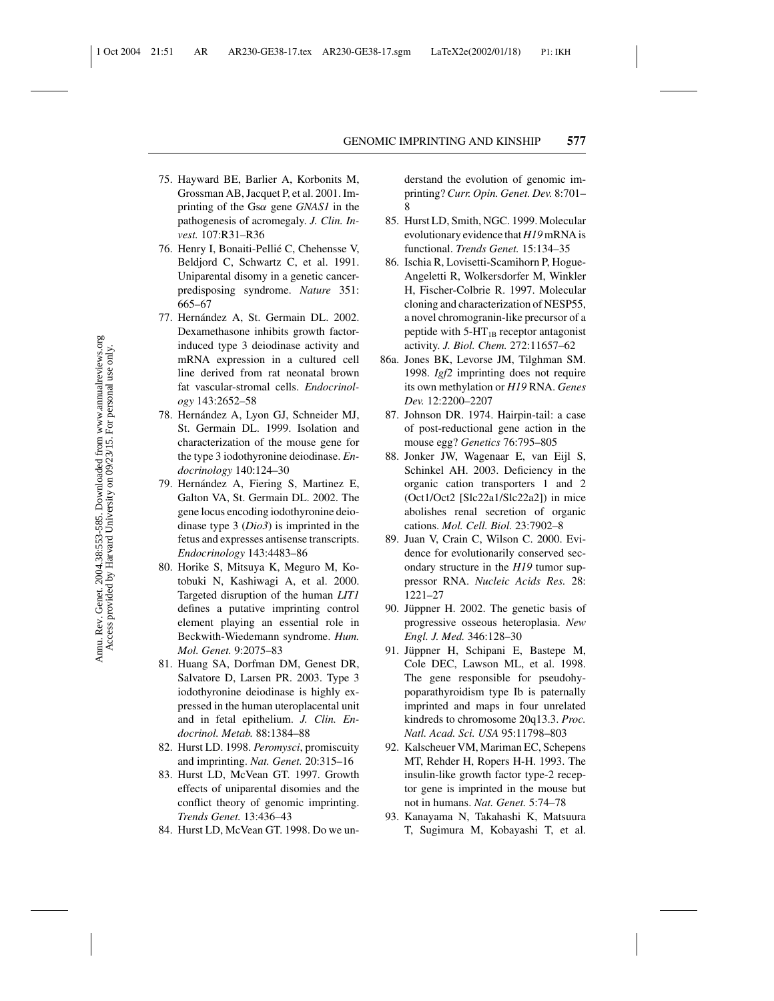- 75. Hayward BE, Barlier A, Korbonits M, Grossman AB, Jacquet P, et al. 2001. Imprinting of the Gsα gene *GNAS1* in the pathogenesis of acromegaly. *J. Clin. Invest.* 107:R31–R36
- 76. Henry I, Bonaiti-Pellié C, Chehensse V, Beldjord C, Schwartz C, et al. 1991. Uniparental disomy in a genetic cancerpredisposing syndrome. *Nature* 351: 665–67
- 77. Hernández A, St. Germain DL. 2002. Dexamethasone inhibits growth factorinduced type 3 deiodinase activity and mRNA expression in a cultured cell line derived from rat neonatal brown fat vascular-stromal cells. *Endocrinology* 143:2652–58
- 78. Hernández A, Lyon GJ, Schneider MJ, St. Germain DL. 1999. Isolation and characterization of the mouse gene for the type 3 iodothyronine deiodinase. *Endocrinology* 140:124–30
- 79. Hernández A, Fiering S, Martinez E, Galton VA, St. Germain DL. 2002. The gene locus encoding iodothyronine deiodinase type 3 (*Dio3*) is imprinted in the fetus and expresses antisense transcripts. *Endocrinology* 143:4483–86
- 80. Horike S, Mitsuya K, Meguro M, Kotobuki N, Kashiwagi A, et al. 2000. Targeted disruption of the human *LIT1* defines a putative imprinting control element playing an essential role in Beckwith-Wiedemann syndrome. *Hum. Mol. Genet.* 9:2075–83
- 81. Huang SA, Dorfman DM, Genest DR, Salvatore D, Larsen PR. 2003. Type 3 iodothyronine deiodinase is highly expressed in the human uteroplacental unit and in fetal epithelium. *J. Clin. Endocrinol. Metab.* 88:1384–88
- 82. Hurst LD. 1998. *Peromysci*, promiscuity and imprinting. *Nat. Genet.* 20:315–16
- 83. Hurst LD, McVean GT. 1997. Growth effects of uniparental disomies and the conflict theory of genomic imprinting. *Trends Genet.* 13:436–43
- 84. Hurst LD, McVean GT. 1998. Do we un-

derstand the evolution of genomic imprinting? *Curr. Opin. Genet. Dev.* 8:701– 8

- 85. Hurst LD, Smith, NGC. 1999. Molecular evolutionary evidence that *H19*mRNA is functional. *Trends Genet.* 15:134–35
- 86. Ischia R, Lovisetti-Scamihorn P, Hogue-Angeletti R, Wolkersdorfer M, Winkler H, Fischer-Colbrie R. 1997. Molecular cloning and characterization of NESP55, a novel chromogranin-like precursor of a peptide with  $5-HT_{1B}$  receptor antagonist activity. *J. Biol. Chem.* 272:11657–62
- 86a. Jones BK, Levorse JM, Tilghman SM. 1998. *Igf2* imprinting does not require its own methylation or *H19* RNA. *Genes Dev.* 12:2200–2207
- 87. Johnson DR. 1974. Hairpin-tail: a case of post-reductional gene action in the mouse egg? *Genetics* 76:795–805
- 88. Jonker JW, Wagenaar E, van Eijl S, Schinkel AH. 2003. Deficiency in the organic cation transporters 1 and 2 (Oct1/Oct2 [Slc22a1/Slc22a2]) in mice abolishes renal secretion of organic cations. *Mol. Cell. Biol.* 23:7902–8
- 89. Juan V, Crain C, Wilson C. 2000. Evidence for evolutionarily conserved secondary structure in the *H19* tumor suppressor RNA. *Nucleic Acids Res.* 28: 1221–27
- 90. Jüppner H. 2002. The genetic basis of progressive osseous heteroplasia. *New Engl. J. Med.* 346:128–30
- 91. Jüppner H, Schipani E, Bastepe M, Cole DEC, Lawson ML, et al. 1998. The gene responsible for pseudohypoparathyroidism type Ib is paternally imprinted and maps in four unrelated kindreds to chromosome 20q13.3. *Proc. Natl. Acad. Sci. USA* 95:11798–803
- 92. Kalscheuer VM, Mariman EC, Schepens MT, Rehder H, Ropers H-H. 1993. The insulin-like growth factor type-2 receptor gene is imprinted in the mouse but not in humans. *Nat. Genet.* 5:74–78
- 93. Kanayama N, Takahashi K, Matsuura T, Sugimura M, Kobayashi T, et al.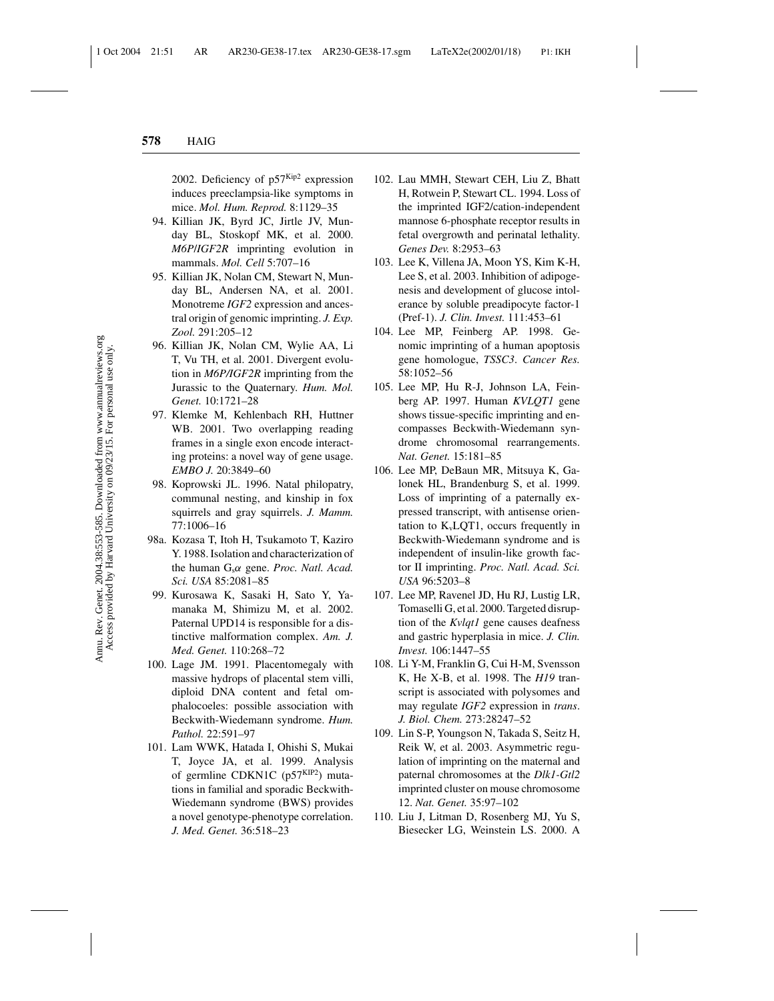2002. Deficiency of p57Kip2 expression induces preeclampsia-like symptoms in mice. *Mol. Hum. Reprod.* 8:1129–35

- 94. Killian JK, Byrd JC, Jirtle JV, Munday BL, Stoskopf MK, et al. 2000. *M6P*/*IGF2R* imprinting evolution in mammals. *Mol. Cell* 5:707–16
- 95. Killian JK, Nolan CM, Stewart N, Munday BL, Andersen NA, et al. 2001. Monotreme *IGF2* expression and ancestral origin of genomic imprinting. *J. Exp. Zool.* 291:205–12
- 96. Killian JK, Nolan CM, Wylie AA, Li T, Vu TH, et al. 2001. Divergent evolution in *M6P/IGF2R* imprinting from the Jurassic to the Quaternary. *Hum. Mol. Genet.* 10:1721–28
- 97. Klemke M, Kehlenbach RH, Huttner WB. 2001. Two overlapping reading frames in a single exon encode interacting proteins: a novel way of gene usage. *EMBO J.* 20:3849–60
- 98. Koprowski JL. 1996. Natal philopatry, communal nesting, and kinship in fox squirrels and gray squirrels. *J. Mamm.* 77:1006–16
- 98a. Kozasa T, Itoh H, Tsukamoto T, Kaziro Y. 1988. Isolation and characterization of the human G<sub>s</sub>α gene. *Proc. Natl. Acad. Sci. USA* 85:2081–85
- 99. Kurosawa K, Sasaki H, Sato Y, Yamanaka M, Shimizu M, et al. 2002. Paternal UPD14 is responsible for a distinctive malformation complex. *Am. J. Med. Genet.* 110:268–72
- 100. Lage JM. 1991. Placentomegaly with massive hydrops of placental stem villi, diploid DNA content and fetal omphalocoeles: possible association with Beckwith-Wiedemann syndrome. *Hum. Pathol.* 22:591–97
- 101. Lam WWK, Hatada I, Ohishi S, Mukai T, Joyce JA, et al. 1999. Analysis of germline CDKN1C (p57KIP2) mutations in familial and sporadic Beckwith-Wiedemann syndrome (BWS) provides a novel genotype-phenotype correlation. *J. Med. Genet.* 36:518–23
- 102. Lau MMH, Stewart CEH, Liu Z, Bhatt H, Rotwein P, Stewart CL. 1994. Loss of the imprinted IGF2/cation-independent mannose 6-phosphate receptor results in fetal overgrowth and perinatal lethality. *Genes Dev.* 8:2953–63
- 103. Lee K, Villena JA, Moon YS, Kim K-H, Lee S, et al. 2003. Inhibition of adipogenesis and development of glucose intolerance by soluble preadipocyte factor-1 (Pref-1). *J. Clin. Invest.* 111:453–61
- 104. Lee MP, Feinberg AP. 1998. Genomic imprinting of a human apoptosis gene homologue, *TSSC3*. *Cancer Res.* 58:1052–56
- 105. Lee MP, Hu R-J, Johnson LA, Feinberg AP. 1997. Human *KVLQT1* gene shows tissue-specific imprinting and encompasses Beckwith-Wiedemann syndrome chromosomal rearrangements. *Nat. Genet.* 15:181–85
- 106. Lee MP, DeBaun MR, Mitsuya K, Galonek HL, Brandenburg S, et al. 1999. Loss of imprinting of a paternally expressed transcript, with antisense orientation to  $K_vLQT1$ , occurs frequently in Beckwith-Wiedemann syndrome and is independent of insulin-like growth factor II imprinting. *Proc. Natl. Acad. Sci. USA* 96:5203–8
- 107. Lee MP, Ravenel JD, Hu RJ, Lustig LR, Tomaselli G, et al. 2000. Targeted disruption of the *Kvlqt1* gene causes deafness and gastric hyperplasia in mice. *J. Clin. Invest.* 106:1447–55
- 108. Li Y-M, Franklin G, Cui H-M, Svensson K, He X-B, et al. 1998. The *H19* transcript is associated with polysomes and may regulate *IGF2* expression in *trans*. *J. Biol. Chem.* 273:28247–52
- 109. Lin S-P, Youngson N, Takada S, Seitz H, Reik W, et al. 2003. Asymmetric regulation of imprinting on the maternal and paternal chromosomes at the *Dlk1-Gtl2* imprinted cluster on mouse chromosome 12. *Nat. Genet.* 35:97–102
- 110. Liu J, Litman D, Rosenberg MJ, Yu S, Biesecker LG, Weinstein LS. 2000. A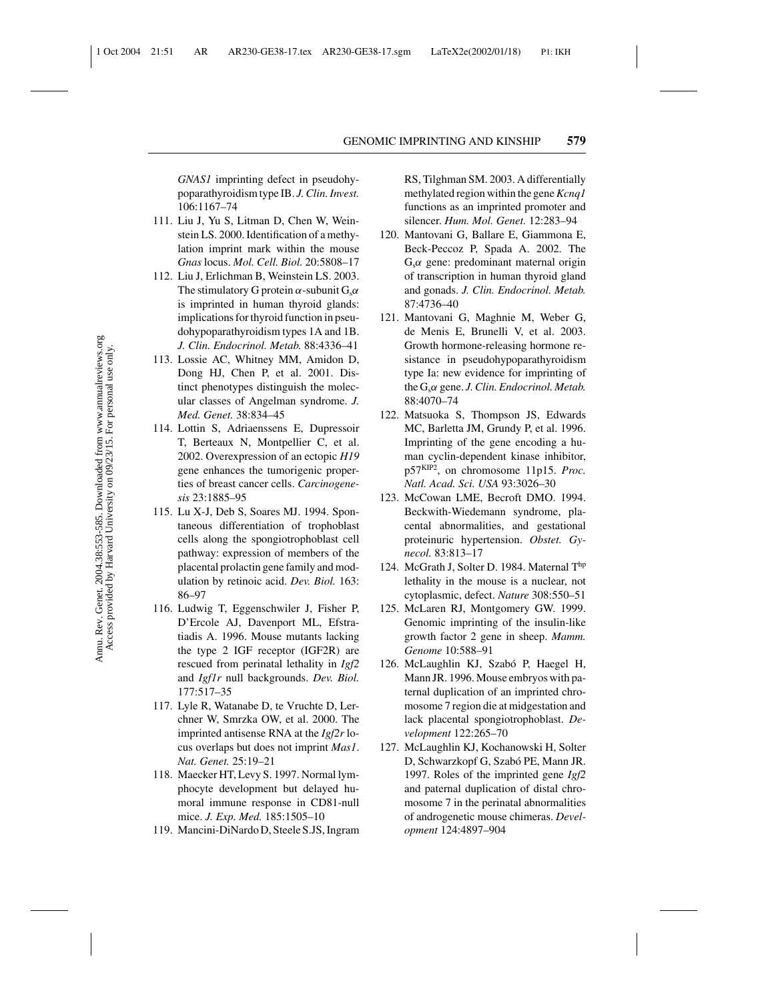*GNAS1* imprinting defect in pseudohypoparathyroidism type IB. *J.Clin. Invest.* 106:1167–74

- 111. Liu J, Yu S, Litman D, Chen W, Weinstein LS. 2000. Identification of a methylation imprint mark within the mouse *Gnas* locus. *Mol. Cell. Biol.* 20:5808–17
- 112. Liu J, Erlichman B, Weinstein LS. 2003. The stimulatory G protein  $\alpha$ -subunit G<sub>s</sub> $\alpha$ is imprinted in human thyroid glands: implications for thyroid function in pseudohypoparathyroidism types 1A and 1B. *J. Clin. Endocrinol. Metab.* 88:4336–41
- 113. Lossie AC, Whitney MM, Amidon D, Dong HJ, Chen P, et al. 2001. Distinct phenotypes distinguish the molecular classes of Angelman syndrome. *J. Med. Genet.* 38:834–45
- 114. Lottin S, Adriaenssens E, Dupressoir T, Berteaux N, Montpellier C, et al. 2002. Overexpression of an ectopic *H19* gene enhances the tumorigenic properties of breast cancer cells. *Carcinogenesis* 23:1885–95
- 115. Lu X-J, Deb S, Soares MJ. 1994. Spontaneous differentiation of trophoblast cells along the spongiotrophoblast cell pathway: expression of members of the placental prolactin gene family and modulation by retinoic acid. *Dev. Biol.* 163: 86–97
- 116. Ludwig T, Eggenschwiler J, Fisher P, D'Ercole AJ, Davenport ML, Efstratiadis A. 1996. Mouse mutants lacking the type 2 IGF receptor (IGF2R) are rescued from perinatal lethality in *Igf2* and *Igf1r* null backgrounds. *Dev. Biol.* 177:517–35
- 117. Lyle R, Watanabe D, te Vruchte D, Lerchner W, Smrzka OW, et al. 2000. The imprinted antisense RNA at the *Igf2r* locus overlaps but does not imprint *Mas1*. *Nat. Genet.* 25:19–21
- 118. Maecker HT, Levy S. 1997. Normal lymphocyte development but delayed humoral immune response in CD81-null mice. *J. Exp. Med.* 185:1505–10
- 119. Mancini-DiNardo D, Steele S.JS, Ingram

RS, Tilghman SM. 2003. A differentially methylated region within the gene*Kcnq1* functions as an imprinted promoter and silencer. *Hum. Mol. Genet.* 12:283–94

- 120. Mantovani G, Ballare E, Giammona E, Beck-Peccoz P, Spada A. 2002. The  $G_s \alpha$  gene: predominant maternal origin of transcription in human thyroid gland and gonads. *J. Clin. Endocrinol. Metab.* 87:4736–40
- 121. Mantovani G, Maghnie M, Weber G, de Menis E, Brunelli V, et al. 2003. Growth hormone-releasing hormone resistance in pseudohypoparathyroidism type Ia: new evidence for imprinting of the Gsα gene. *J.Clin. Endocrinol. Metab.* 88:4070–74
- 122. Matsuoka S, Thompson JS, Edwards MC, Barletta JM, Grundy P, et al. 1996. Imprinting of the gene encoding a human cyclin-dependent kinase inhibitor, p57KIP2, on chromosome 11p15. *Proc. Natl. Acad. Sci. USA* 93:3026–30
- 123. McCowan LME, Becroft DMO. 1994. Beckwith-Wiedemann syndrome, placental abnormalities, and gestational proteinuric hypertension. *Obstet. Gynecol.* 83:813–17
- 124. McGrath J, Solter D. 1984. Maternal Thp lethality in the mouse is a nuclear, not cytoplasmic, defect. *Nature* 308:550–51
- 125. McLaren RJ, Montgomery GW. 1999. Genomic imprinting of the insulin-like growth factor 2 gene in sheep. *Mamm. Genome* 10:588–91
- 126. McLaughlin KJ, Szabó P, Haegel H, Mann JR. 1996. Mouse embryos with paternal duplication of an imprinted chromosome 7 region die at midgestation and lack placental spongiotrophoblast. *Development* 122:265–70
- 127. McLaughlin KJ, Kochanowski H, Solter D, Schwarzkopf G, Szabó PE, Mann JR. 1997. Roles of the imprinted gene *Igf2* and paternal duplication of distal chromosome 7 in the perinatal abnormalities of androgenetic mouse chimeras. *Development* 124:4897–904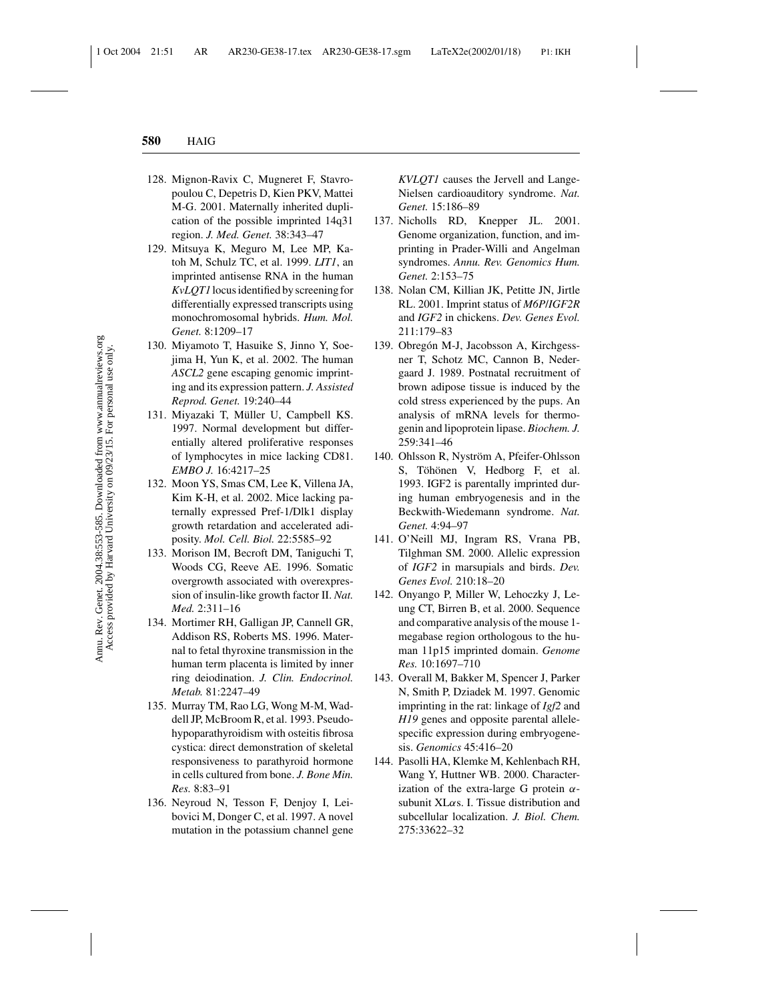- 128. Mignon-Ravix C, Mugneret F, Stavropoulou C, Depetris D, Kien PKV, Mattei M-G. 2001. Maternally inherited duplication of the possible imprinted 14q31 region. *J. Med. Genet.* 38:343–47
- 129. Mitsuya K, Meguro M, Lee MP, Katoh M, Schulz TC, et al. 1999. *LIT1*, an imprinted antisense RNA in the human *KvLQT1* locus identified by screening for differentially expressed transcripts using monochromosomal hybrids. *Hum. Mol. Genet.* 8:1209–17
- 130. Miyamoto T, Hasuike S, Jinno Y, Soejima H, Yun K, et al. 2002. The human *ASCL2* gene escaping genomic imprinting and its expression pattern. *J. Assisted Reprod. Genet.* 19:240–44
- 131. Miyazaki T, Müller U, Campbell KS. 1997. Normal development but differentially altered proliferative responses of lymphocytes in mice lacking CD81. *EMBO J.* 16:4217–25
- 132. Moon YS, Smas CM, Lee K, Villena JA, Kim K-H, et al. 2002. Mice lacking paternally expressed Pref-1/Dlk1 display growth retardation and accelerated adiposity. *Mol. Cell. Biol.* 22:5585–92
- 133. Morison IM, Becroft DM, Taniguchi T, Woods CG, Reeve AE. 1996. Somatic overgrowth associated with overexpression of insulin-like growth factor II. *Nat. Med.* 2:311–16
- 134. Mortimer RH, Galligan JP, Cannell GR, Addison RS, Roberts MS. 1996. Maternal to fetal thyroxine transmission in the human term placenta is limited by inner ring deiodination. *J. Clin. Endocrinol. Metab.* 81:2247–49
- 135. Murray TM, Rao LG, Wong M-M, Waddell JP, McBroom R, et al. 1993. Pseudohypoparathyroidism with osteitis fibrosa cystica: direct demonstration of skeletal responsiveness to parathyroid hormone in cells cultured from bone. *J. Bone Min. Res.* 8:83–91
- 136. Neyroud N, Tesson F, Denjoy I, Leibovici M, Donger C, et al. 1997. A novel mutation in the potassium channel gene

*KVLQT1* causes the Jervell and Lange-Nielsen cardioauditory syndrome. *Nat. Genet.* 15:186–89

- 137. Nicholls RD, Knepper JL. 2001. Genome organization, function, and imprinting in Prader-Willi and Angelman syndromes. *Annu. Rev. Genomics Hum. Genet.* 2:153–75
- 138. Nolan CM, Killian JK, Petitte JN, Jirtle RL. 2001. Imprint status of *M6P*/*IGF2R* and *IGF2* in chickens. *Dev. Genes Evol.* 211:179–83
- 139. Obregón M-J, Jacobsson A, Kirchgessner T, Schotz MC, Cannon B, Nedergaard J. 1989. Postnatal recruitment of brown adipose tissue is induced by the cold stress experienced by the pups. An analysis of mRNA levels for thermogenin and lipoprotein lipase. *Biochem. J.* 259:341–46
- 140. Ohlsson R, Nyström A, Pfeifer-Ohlsson S, Töhönen V, Hedborg F, et al. 1993. IGF2 is parentally imprinted during human embryogenesis and in the Beckwith-Wiedemann syndrome. *Nat. Genet.* 4:94–97
- 141. O'Neill MJ, Ingram RS, Vrana PB, Tilghman SM. 2000. Allelic expression of *IGF2* in marsupials and birds. *Dev. Genes Evol.* 210:18–20
- 142. Onyango P, Miller W, Lehoczky J, Leung CT, Birren B, et al. 2000. Sequence and comparative analysis of the mouse 1 megabase region orthologous to the human 11p15 imprinted domain. *Genome Res.* 10:1697–710
- 143. Overall M, Bakker M, Spencer J, Parker N, Smith P, Dziadek M. 1997. Genomic imprinting in the rat: linkage of *Igf2* and *H19* genes and opposite parental allelespecific expression during embryogenesis. *Genomics* 45:416–20
- 144. Pasolli HA, Klemke M, Kehlenbach RH, Wang Y, Huttner WB. 2000. Characterization of the extra-large G protein  $\alpha$ subunit XLαs. I. Tissue distribution and subcellular localization. *J. Biol. Chem.* 275:33622–32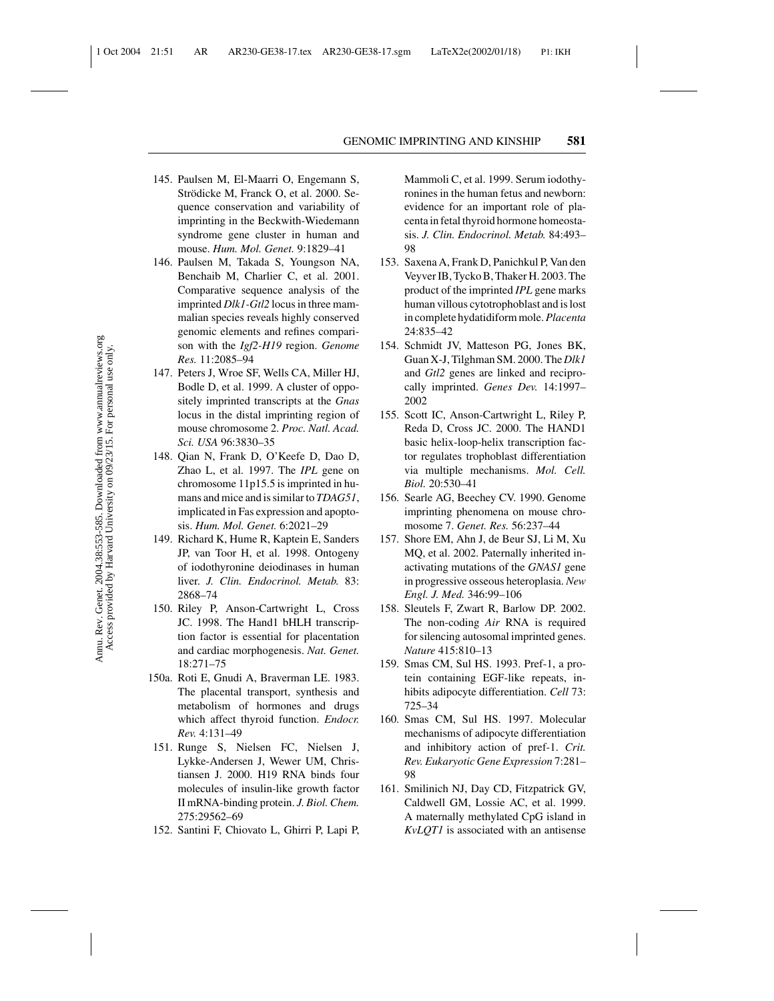- 145. Paulsen M, El-Maarri O, Engemann S, Strödicke M, Franck O, et al. 2000. Sequence conservation and variability of imprinting in the Beckwith-Wiedemann syndrome gene cluster in human and mouse. *Hum. Mol. Genet.* 9:1829–41
- 146. Paulsen M, Takada S, Youngson NA, Benchaib M, Charlier C, et al. 2001. Comparative sequence analysis of the imprinted *Dlk1-Gtl2* locus in three mammalian species reveals highly conserved genomic elements and refines comparison with the *Igf2-H19* region. *Genome Res.* 11:2085–94
- 147. Peters J, Wroe SF, Wells CA, Miller HJ, Bodle D, et al. 1999. A cluster of oppositely imprinted transcripts at the *Gnas* locus in the distal imprinting region of mouse chromosome 2. *Proc. Natl. Acad. Sci. USA* 96:3830–35
- 148. Qian N, Frank D, O'Keefe D, Dao D, Zhao L, et al. 1997. The *IPL* gene on chromosome 11p15.5 is imprinted in humans and mice and is similar to *TDAG51*, implicated in Fas expression and apoptosis. *Hum. Mol. Genet.* 6:2021–29
- 149. Richard K, Hume R, Kaptein E, Sanders JP, van Toor H, et al. 1998. Ontogeny of iodothyronine deiodinases in human liver. *J. Clin. Endocrinol. Metab.* 83: 2868–74
- 150. Riley P, Anson-Cartwright L, Cross JC. 1998. The Hand1 bHLH transcription factor is essential for placentation and cardiac morphogenesis. *Nat. Genet.* 18:271–75
- 150a. Roti E, Gnudi A, Braverman LE. 1983. The placental transport, synthesis and metabolism of hormones and drugs which affect thyroid function. *Endocr. Rev.* 4:131–49
- 151. Runge S, Nielsen FC, Nielsen J, Lykke-Andersen J, Wewer UM, Christiansen J. 2000. H19 RNA binds four molecules of insulin-like growth factor II mRNA-binding protein. *J. Biol. Chem.* 275:29562–69
- 152. Santini F, Chiovato L, Ghirri P, Lapi P,

Mammoli C, et al. 1999. Serum iodothyronines in the human fetus and newborn: evidence for an important role of placenta in fetal thyroid hormone homeostasis. *J. Clin. Endocrinol. Metab.* 84:493– 98

- 153. Saxena A, Frank D, Panichkul P, Van den Veyver IB, Tycko B, Thaker H. 2003. The product of the imprinted *IPL* gene marks human villous cytotrophoblast and is lost in complete hydatidiform mole.*Placenta* 24:835–42
- 154. Schmidt JV, Matteson PG, Jones BK, Guan X-J, Tilghman SM. 2000. The *Dlk1* and *Gtl2* genes are linked and reciprocally imprinted. *Genes Dev.* 14:1997– 2002
- 155. Scott IC, Anson-Cartwright L, Riley P, Reda D, Cross JC. 2000. The HAND1 basic helix-loop-helix transcription factor regulates trophoblast differentiation via multiple mechanisms. *Mol. Cell. Biol.* 20:530–41
- 156. Searle AG, Beechey CV. 1990. Genome imprinting phenomena on mouse chromosome 7. *Genet. Res.* 56:237–44
- 157. Shore EM, Ahn J, de Beur SJ, Li M, Xu MQ, et al. 2002. Paternally inherited inactivating mutations of the *GNAS1* gene in progressive osseous heteroplasia. *New Engl. J. Med.* 346:99–106
- 158. Sleutels F, Zwart R, Barlow DP. 2002. The non-coding *Air* RNA is required for silencing autosomal imprinted genes. *Nature* 415:810–13
- 159. Smas CM, Sul HS. 1993. Pref-1, a protein containing EGF-like repeats, inhibits adipocyte differentiation. *Cell* 73: 725–34
- 160. Smas CM, Sul HS. 1997. Molecular mechanisms of adipocyte differentiation and inhibitory action of pref-1. *Crit. Rev. Eukaryotic Gene Expression* 7:281– 98
- 161. Smilinich NJ, Day CD, Fitzpatrick GV, Caldwell GM, Lossie AC, et al. 1999. A maternally methylated CpG island in *KvLQT1* is associated with an antisense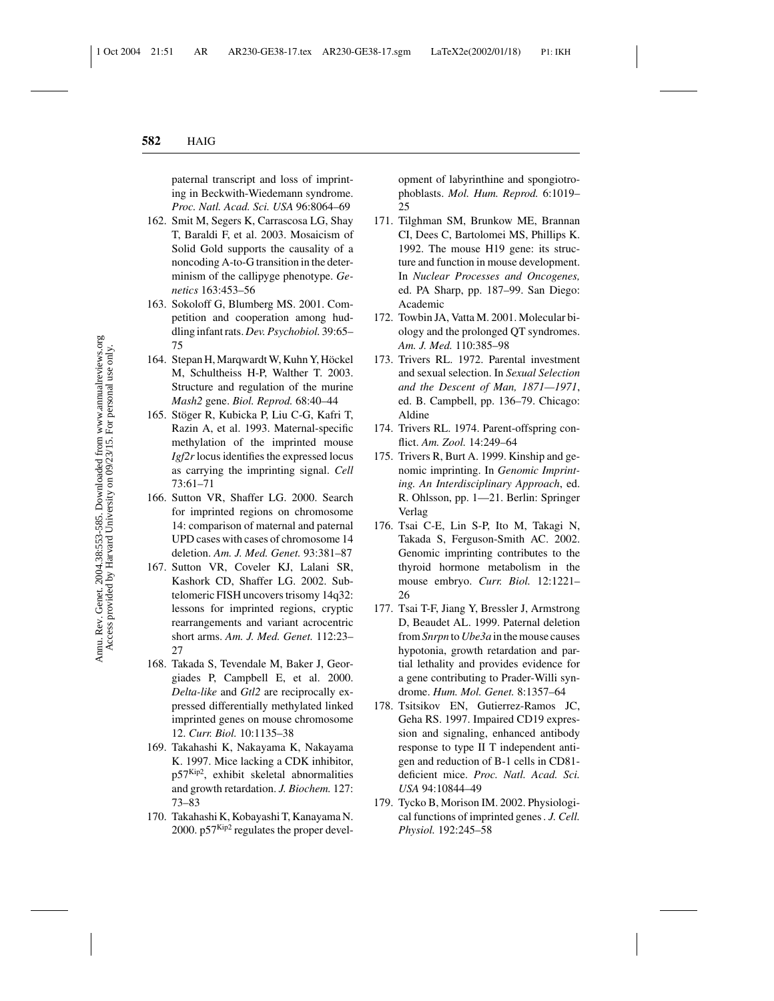paternal transcript and loss of imprinting in Beckwith-Wiedemann syndrome. *Proc. Natl. Acad. Sci. USA* 96:8064–69

- 162. Smit M, Segers K, Carrascosa LG, Shay T, Baraldi F, et al. 2003. Mosaicism of Solid Gold supports the causality of a noncoding A-to-G transition in the determinism of the callipyge phenotype. *Genetics* 163:453–56
- 163. Sokoloff G, Blumberg MS. 2001. Competition and cooperation among huddling infant rats. *Dev. Psychobiol.* 39:65– 75
- 164. Stepan H, Marqwardt W, Kuhn Y, Höckel M, Schultheiss H-P, Walther T. 2003. Structure and regulation of the murine *Mash2* gene. *Biol. Reprod.* 68:40–44
- 165. Stöger R, Kubicka P, Liu C-G, Kafri T, Razin A, et al. 1993. Maternal-specific methylation of the imprinted mouse *Igf2r* locus identifies the expressed locus as carrying the imprinting signal. *Cell* 73:61–71
- 166. Sutton VR, Shaffer LG. 2000. Search for imprinted regions on chromosome 14: comparison of maternal and paternal UPD cases with cases of chromosome 14 deletion. *Am. J. Med. Genet.* 93:381–87
- 167. Sutton VR, Coveler KJ, Lalani SR, Kashork CD, Shaffer LG. 2002. Subtelomeric FISH uncovers trisomy 14q32: lessons for imprinted regions, cryptic rearrangements and variant acrocentric short arms. *Am. J. Med. Genet.* 112:23– 27
- 168. Takada S, Tevendale M, Baker J, Georgiades P, Campbell E, et al. 2000. *Delta-like* and *Gtl2* are reciprocally expressed differentially methylated linked imprinted genes on mouse chromosome 12. *Curr. Biol.* 10:1135–38
- 169. Takahashi K, Nakayama K, Nakayama K. 1997. Mice lacking a CDK inhibitor, p57<sup>Kip2</sup>, exhibit skeletal abnormalities and growth retardation. *J. Biochem.* 127: 73–83
- 170. Takahashi K, Kobayashi T, Kanayama N. 2000. p57 $^{Kip2}$  regulates the proper devel-

opment of labyrinthine and spongiotrophoblasts. *Mol. Hum. Reprod.* 6:1019– 25

- 171. Tilghman SM, Brunkow ME, Brannan CI, Dees C, Bartolomei MS, Phillips K. 1992. The mouse H19 gene: its structure and function in mouse development. In *Nuclear Processes and Oncogenes,* ed. PA Sharp, pp. 187–99. San Diego: Academic
- 172. Towbin JA, Vatta M. 2001. Molecular biology and the prolonged QT syndromes. *Am. J. Med.* 110:385–98
- 173. Trivers RL. 1972. Parental investment and sexual selection. In *Sexual Selection and the Descent of Man, 1871—1971*, ed. B. Campbell, pp. 136–79. Chicago: Aldine
- 174. Trivers RL. 1974. Parent-offspring conflict. *Am. Zool.* 14:249–64
- 175. Trivers R, Burt A. 1999. Kinship and genomic imprinting. In *Genomic Imprinting. An Interdisciplinary Approach*, ed. R. Ohlsson, pp. 1—21. Berlin: Springer Verlag
- 176. Tsai C-E, Lin S-P, Ito M, Takagi N, Takada S, Ferguson-Smith AC. 2002. Genomic imprinting contributes to the thyroid hormone metabolism in the mouse embryo. *Curr. Biol.* 12:1221– 26
- 177. Tsai T-F, Jiang Y, Bressler J, Armstrong D, Beaudet AL. 1999. Paternal deletion from*Snrpn* to *Ube3a* in the mouse causes hypotonia, growth retardation and partial lethality and provides evidence for a gene contributing to Prader-Willi syndrome. *Hum. Mol. Genet.* 8:1357–64
- 178. Tsitsikov EN, Gutierrez-Ramos JC, Geha RS. 1997. Impaired CD19 expression and signaling, enhanced antibody response to type II T independent antigen and reduction of B-1 cells in CD81 deficient mice. *Proc. Natl. Acad. Sci. USA* 94:10844–49
- 179. Tycko B, Morison IM. 2002. Physiological functions of imprinted genes*. J. Cell. Physiol.* 192:245–58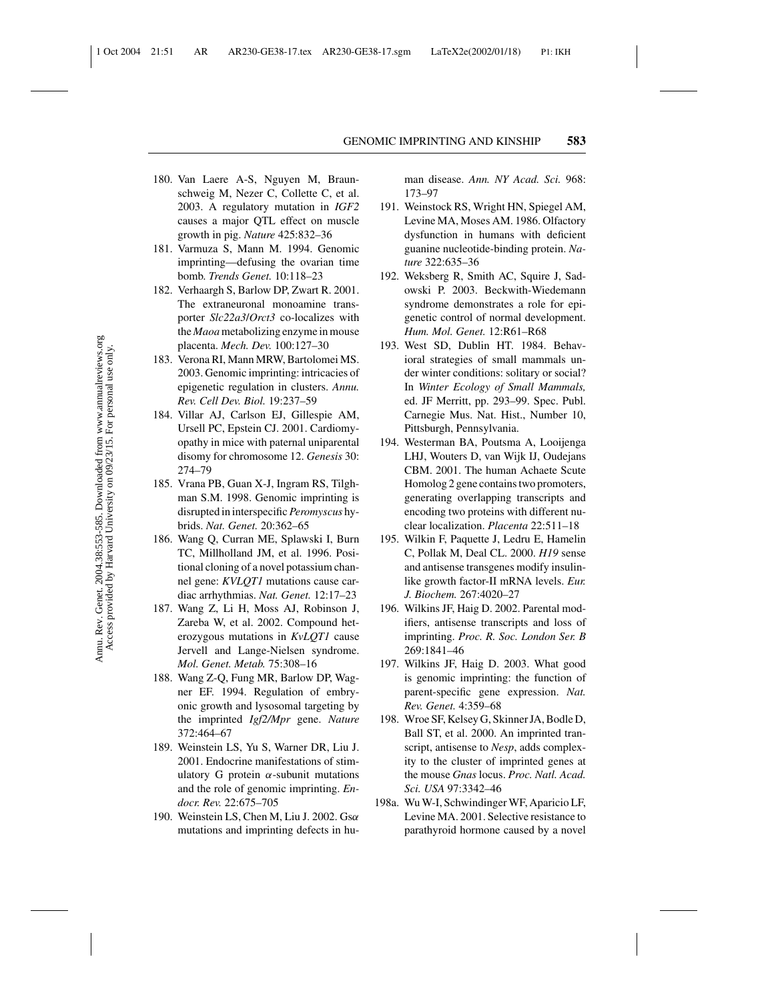- 180. Van Laere A-S, Nguyen M, Braunschweig M, Nezer C, Collette C, et al. 2003. A regulatory mutation in *IGF2* causes a major QTL effect on muscle growth in pig. *Nature* 425:832–36
- 181. Varmuza S, Mann M. 1994. Genomic imprinting—defusing the ovarian time bomb. *Trends Genet.* 10:118–23
- 182. Verhaargh S, Barlow DP, Zwart R. 2001. The extraneuronal monoamine transporter *Slc22a3*/*Orct3* co-localizes with the *Maoa*metabolizing enzyme in mouse placenta. *Mech. Dev.* 100:127–30
- 183. Verona RI, Mann MRW, Bartolomei MS. 2003. Genomic imprinting: intricacies of epigenetic regulation in clusters. *Annu. Rev. Cell Dev. Biol.* 19:237–59
- 184. Villar AJ, Carlson EJ, Gillespie AM, Ursell PC, Epstein CJ. 2001. Cardiomyopathy in mice with paternal uniparental disomy for chromosome 12. *Genesis* 30: 274–79
- 185. Vrana PB, Guan X-J, Ingram RS, Tilghman S.M. 1998. Genomic imprinting is disrupted in interspecific*Peromyscus* hybrids. *Nat. Genet.* 20:362–65
- 186. Wang Q, Curran ME, Splawski I, Burn TC, Millholland JM, et al. 1996. Positional cloning of a novel potassium channel gene: *KVLQT1* mutations cause cardiac arrhythmias. *Nat. Genet.* 12:17–23
- 187. Wang Z, Li H, Moss AJ, Robinson J, Zareba W, et al. 2002. Compound heterozygous mutations in *KvLQT1* cause Jervell and Lange-Nielsen syndrome. *Mol. Genet. Metab.* 75:308–16
- 188. Wang Z-Q, Fung MR, Barlow DP, Wagner EF. 1994. Regulation of embryonic growth and lysosomal targeting by the imprinted *Igf2/Mpr* gene. *Nature* 372:464–67
- 189. Weinstein LS, Yu S, Warner DR, Liu J. 2001. Endocrine manifestations of stimulatory G protein  $\alpha$ -subunit mutations and the role of genomic imprinting. *Endocr. Rev.* 22:675–705
- 190. Weinstein LS, Chen M, Liu J. 2002. Gsα mutations and imprinting defects in hu-

man disease. *Ann. NY Acad. Sci.* 968: 173–97

- 191. Weinstock RS, Wright HN, Spiegel AM, Levine MA, Moses AM. 1986. Olfactory dysfunction in humans with deficient guanine nucleotide-binding protein. *Nature* 322:635–36
- 192. Weksberg R, Smith AC, Squire J, Sadowski P. 2003. Beckwith-Wiedemann syndrome demonstrates a role for epigenetic control of normal development. *Hum. Mol. Genet.* 12:R61–R68
- 193. West SD, Dublin HT. 1984. Behavioral strategies of small mammals under winter conditions: solitary or social? In *Winter Ecology of Small Mammals,* ed. JF Merritt, pp. 293–99. Spec. Publ. Carnegie Mus. Nat. Hist., Number 10, Pittsburgh, Pennsylvania.
- 194. Westerman BA, Poutsma A, Looijenga LHJ, Wouters D, van Wijk IJ, Oudejans CBM. 2001. The human Achaete Scute Homolog 2 gene contains two promoters, generating overlapping transcripts and encoding two proteins with different nuclear localization. *Placenta* 22:511–18
- 195. Wilkin F, Paquette J, Ledru E, Hamelin C, Pollak M, Deal CL. 2000. *H19* sense and antisense transgenes modify insulinlike growth factor-II mRNA levels. *Eur. J. Biochem.* 267:4020–27
- 196. Wilkins JF, Haig D. 2002. Parental modifiers, antisense transcripts and loss of imprinting. *Proc. R. Soc. London Ser. B* 269:1841–46
- 197. Wilkins JF, Haig D. 2003. What good is genomic imprinting: the function of parent-specific gene expression. *Nat. Rev. Genet.* 4:359–68
- 198. Wroe SF, Kelsey G, Skinner JA, Bodle D, Ball ST, et al. 2000. An imprinted transcript, antisense to *Nesp*, adds complexity to the cluster of imprinted genes at the mouse *Gnas* locus. *Proc. Natl. Acad. Sci. USA* 97:3342–46
- 198a. Wu W-I, Schwindinger WF, Aparicio LF, Levine MA. 2001. Selective resistance to parathyroid hormone caused by a novel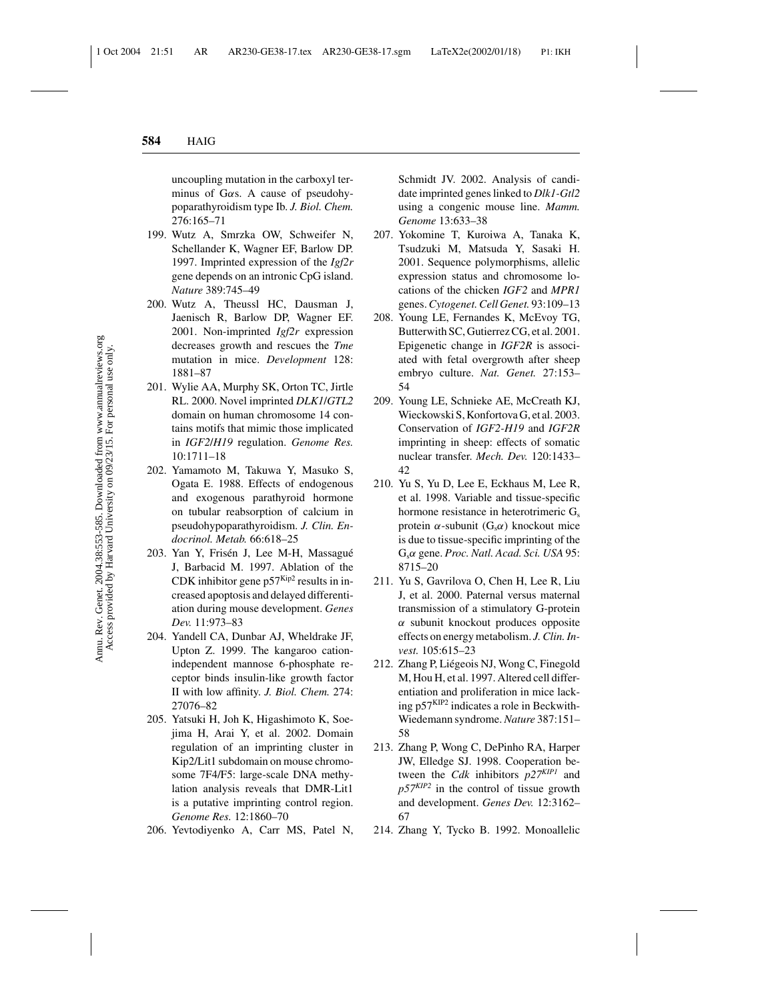uncoupling mutation in the carboxyl terminus of Gαs. A cause of pseudohypoparathyroidism type Ib. *J. Biol. Chem.* 276:165–71

- 199. Wutz A, Smrzka OW, Schweifer N, Schellander K, Wagner EF, Barlow DP. 1997. Imprinted expression of the *Igf2r* gene depends on an intronic CpG island. *Nature* 389:745–49
- 200. Wutz A, Theussl HC, Dausman J, Jaenisch R, Barlow DP, Wagner EF. 2001. Non-imprinted *Igf2r* expression decreases growth and rescues the *Tme* mutation in mice. *Development* 128: 1881–87
- 201. Wylie AA, Murphy SK, Orton TC, Jirtle RL. 2000. Novel imprinted *DLK1*/*GTL2* domain on human chromosome 14 contains motifs that mimic those implicated in *IGF2*/*H19* regulation. *Genome Res.* 10:1711–18
- 202. Yamamoto M, Takuwa Y, Masuko S, Ogata E. 1988. Effects of endogenous and exogenous parathyroid hormone on tubular reabsorption of calcium in pseudohypoparathyroidism. *J. Clin. Endocrinol. Metab.* 66:618–25
- 203. Yan Y, Frisén J, Lee M-H, Massagué J, Barbacid M. 1997. Ablation of the CDK inhibitor gene  $p57^{Kip2}$  results in increased apoptosis and delayed differentiation during mouse development. *Genes Dev.* 11:973–83
- 204. Yandell CA, Dunbar AJ, Wheldrake JF, Upton Z. 1999. The kangaroo cationindependent mannose 6-phosphate receptor binds insulin-like growth factor II with low affinity. *J. Biol. Chem.* 274: 27076–82
- 205. Yatsuki H, Joh K, Higashimoto K, Soejima H, Arai Y, et al. 2002. Domain regulation of an imprinting cluster in Kip2/Lit1 subdomain on mouse chromosome 7F4/F5: large-scale DNA methylation analysis reveals that DMR-Lit1 is a putative imprinting control region. *Genome Res.* 12:1860–70
- 206. Yevtodiyenko A, Carr MS, Patel N,

Schmidt JV. 2002. Analysis of candidate imprinted genes linked to *Dlk1-Gtl2* using a congenic mouse line. *Mamm. Genome* 13:633–38

- 207. Yokomine T, Kuroiwa A, Tanaka K, Tsudzuki M, Matsuda Y, Sasaki H. 2001. Sequence polymorphisms, allelic expression status and chromosome locations of the chicken *IGF2* and *MPR1* genes.*Cytogenet. Cell Genet.* 93:109–13
- 208. Young LE, Fernandes K, McEvoy TG, Butterwith SC, Gutierrez CG, et al. 2001. Epigenetic change in *IGF2R* is associated with fetal overgrowth after sheep embryo culture. *Nat. Genet.* 27:153– 54
- 209. Young LE, Schnieke AE, McCreath KJ, Wieckowski S, Konfortova G, et al. 2003. Conservation of *IGF2-H19* and *IGF2R* imprinting in sheep: effects of somatic nuclear transfer. *Mech. Dev.* 120:1433– 42
- 210. Yu S, Yu D, Lee E, Eckhaus M, Lee R, et al. 1998. Variable and tissue-specific hormone resistance in heterotrimeric  $G_s$ protein  $\alpha$ -subunit (G<sub>s</sub> $\alpha$ ) knockout mice is due to tissue-specific imprinting of the Gsα gene. *Proc. Natl. Acad. Sci. USA* 95: 8715–20
- 211. Yu S, Gavrilova O, Chen H, Lee R, Liu J, et al. 2000. Paternal versus maternal transmission of a stimulatory G-protein  $\alpha$  subunit knockout produces opposite effects on energy metabolism. *J.Clin. Invest.* 105:615–23
- 212. Zhang P, Liégeois NJ, Wong C, Finegold M, Hou H, et al. 1997. Altered cell differentiation and proliferation in mice lacking p57KIP2 indicates a role in Beckwith-Wiedemann syndrome. *Nature* 387:151– 58
- 213. Zhang P, Wong C, DePinho RA, Harper JW, Elledge SJ. 1998. Cooperation between the *Cdk* inhibitors *p27KIP1* and *p57KIP2* in the control of tissue growth and development. *Genes Dev.* 12:3162– 67
- 214. Zhang Y, Tycko B. 1992. Monoallelic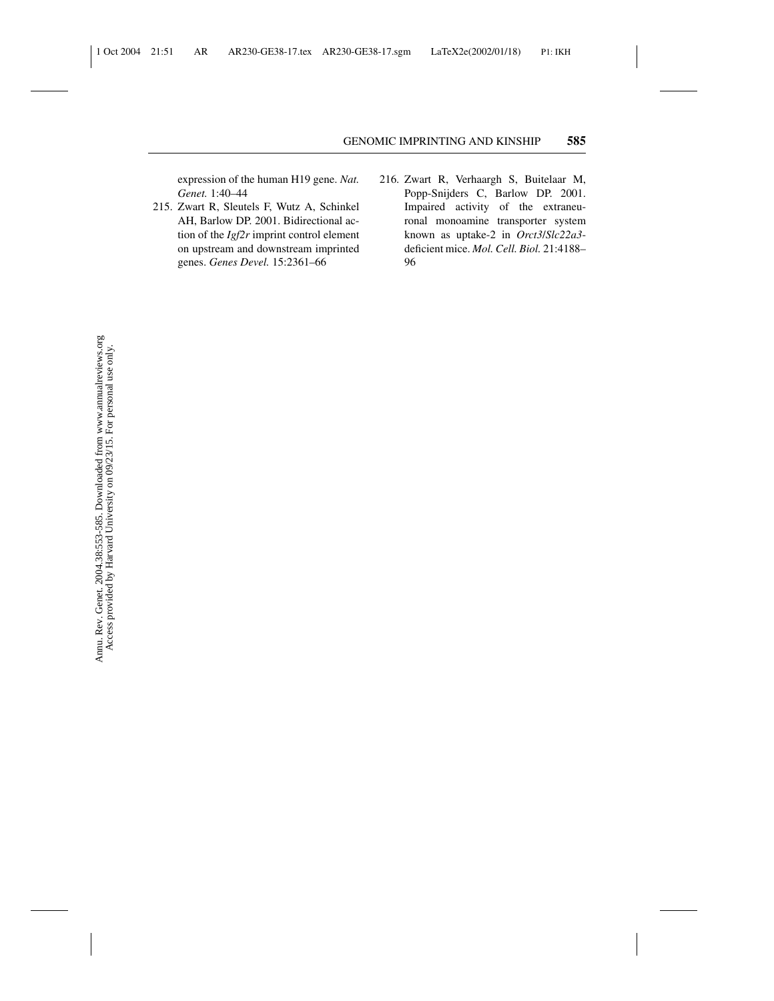expression of the human H19 gene. *Nat. Genet.* 1:40–44

- 215. Zwart R, Sleutels F, Wutz A, Schinkel AH, Barlow DP. 2001. Bidirectional action of the *Igf2r* imprint control element on upstream and downstream imprinted genes. *Genes Devel.* 15:2361–66
- 216. Zwart R, Verhaargh S, Buitelaar M, Popp-Snijders C, Barlow DP. 2001. Impaired activity of the extraneuronal monoamine transporter system known as uptake-2 in *Orct3*/*Slc22a3* deficient mice. *Mol. Cell. Biol.* 21:4188– 96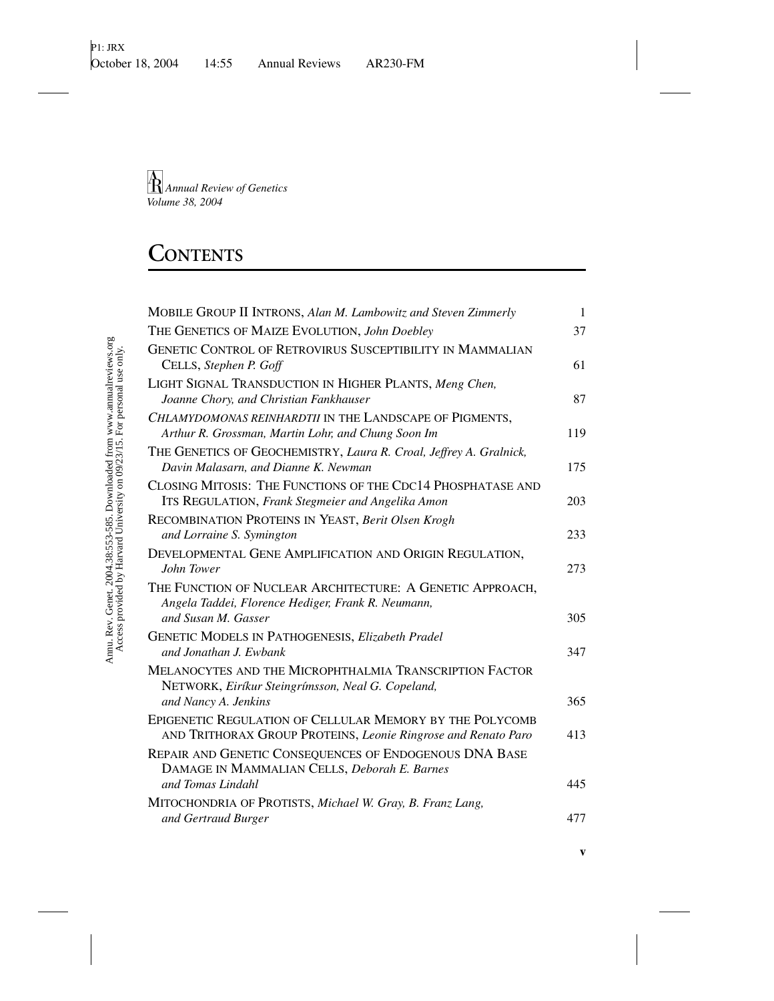# **CONTENTS**

| MOBILE GROUP II INTRONS, Alan M. Lambowitz and Steven Zimmerly                                                                         | $\mathbf{1}$ |
|----------------------------------------------------------------------------------------------------------------------------------------|--------------|
| THE GENETICS OF MAIZE EVOLUTION, John Doebley                                                                                          | 37           |
| <b>GENETIC CONTROL OF RETROVIRUS SUSCEPTIBILITY IN MAMMALIAN</b><br>CELLS, Stephen P. Goff                                             | 61           |
| LIGHT SIGNAL TRANSDUCTION IN HIGHER PLANTS, Meng Chen,<br>Joanne Chory, and Christian Fankhauser                                       | 87           |
| CHLAMYDOMONAS REINHARDTII IN THE LANDSCAPE OF PIGMENTS,<br>Arthur R. Grossman, Martin Lohr, and Chung Soon Im                          | 119          |
| THE GENETICS OF GEOCHEMISTRY, Laura R. Croal, Jeffrey A. Gralnick,<br>Davin Malasarn, and Dianne K. Newman                             | 175          |
| CLOSING MITOSIS: THE FUNCTIONS OF THE CDC14 PHOSPHATASE AND<br>ITS REGULATION, Frank Stegmeier and Angelika Amon                       | 203          |
| RECOMBINATION PROTEINS IN YEAST, Berit Olsen Krogh<br>and Lorraine S. Symington                                                        | 233          |
| DEVELOPMENTAL GENE AMPLIFICATION AND ORIGIN REGULATION,<br>John Tower                                                                  | 273          |
| THE FUNCTION OF NUCLEAR ARCHITECTURE: A GENETIC APPROACH,<br>Angela Taddei, Florence Hediger, Frank R. Neumann,<br>and Susan M. Gasser | 305          |
| GENETIC MODELS IN PATHOGENESIS, Elizabeth Pradel<br>and Jonathan J. Ewbank                                                             | 347          |
| MELANOCYTES AND THE MICROPHTHALMIA TRANSCRIPTION FACTOR<br>NETWORK, Eiríkur Steingrímsson, Neal G. Copeland,                           |              |
| and Nancy A. Jenkins                                                                                                                   | 365          |
| EPIGENETIC REGULATION OF CELLULAR MEMORY BY THE POLYCOMB<br>AND TRITHORAX GROUP PROTEINS, Leonie Ringrose and Renato Paro              | 413          |
| REPAIR AND GENETIC CONSEQUENCES OF ENDOGENOUS DNA BASE<br>DAMAGE IN MAMMALIAN CELLS, Deborah E. Barnes                                 |              |
| and Tomas Lindahl                                                                                                                      | 445          |
| MITOCHONDRIA OF PROTISTS, Michael W. Gray, B. Franz Lang,<br>and Gertraud Burger                                                       | 477          |

**v**